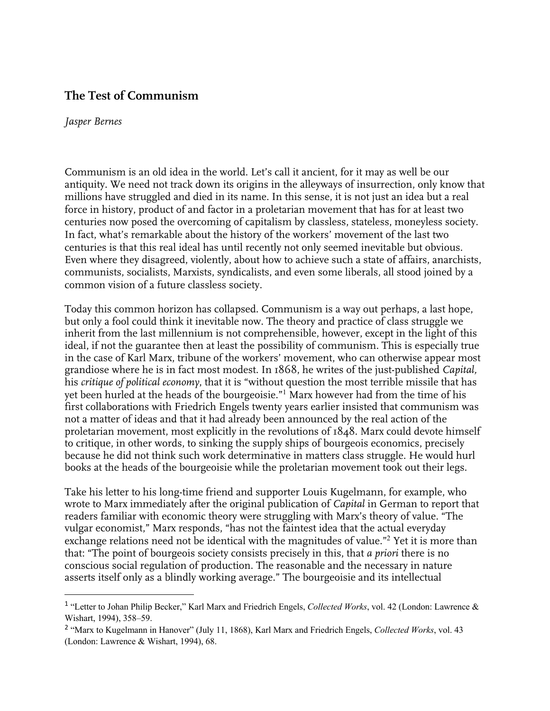# **The Test of Communism**

#### *Jasper Bernes*

Communism is an old idea in the world. Let's call it ancient, for it may as well be our antiquity. We need not track down its origins in the alleyways of insurrection, only know that millions have struggled and died in its name. In this sense, it is not just an idea but a real force in history, product of and factor in a proletarian movement that has for at least two centuries now posed the overcoming of capitalism by classless, stateless, moneyless society. In fact, what's remarkable about the history of the workers' movement of the last two centuries is that this real ideal has until recently not only seemed inevitable but obvious. Even where they disagreed, violently, about how to achieve such a state of affairs, anarchists, communists, socialists, Marxists, syndicalists, and even some liberals, all stood joined by a common vision of a future classless society.

Today this common horizon has collapsed. Communism is a way out perhaps, a last hope, but only a fool could think it inevitable now. The theory and practice of class struggle we inherit from the last millennium is not comprehensible, however, except in the light of this ideal, if not the guarantee then at least the possibility of communism. This is especially true in the case of Karl Marx, tribune of the workers' movement, who can otherwise appear most grandiose where he is in fact most modest. In 1868, he writes of the just-published *Capital,* his *critique of political economy*, that it is "without question the most terrible missile that has yet been hurled at the heads of the bourgeoisie."<sup>1</sup> Marx however had from the time of his first collaborations with Friedrich Engels twenty years earlier insisted that communism was not a matter of ideas and that it had already been announced by the real action of the proletarian movement, most explicitly in the revolutions of 1848. Marx could devote himself to critique, in other words, to sinking the supply ships of bourgeois economics, precisely because he did not think such work determinative in matters class struggle. He would hurl books at the heads of the bourgeoisie while the proletarian movement took out their legs.

Take his letter to his long-time friend and supporter Louis Kugelmann, for example, who wrote to Marx immediately after the original publication of *Capital* in German to report that readers familiar with economic theory were struggling with Marx's theory of value. "The vulgar economist," Marx responds, "has not the faintest idea that the actual everyday exchange relations need not be identical with the magnitudes of value."<sup>2</sup> Yet it is more than that: "The point of bourgeois society consists precisely in this, that *a priori* there is no conscious social regulation of production. The reasonable and the necessary in nature asserts itself only as a blindly working average." The bourgeoisie and its intellectual

<sup>1</sup> "Letter to Johan Philip Becker," Karl Marx and Friedrich Engels, *Collected Works*, vol. 42 (London: Lawrence & Wishart, 1994), 358–59.

<sup>2</sup> "Marx to Kugelmann in Hanover" (July 11, 1868), Karl Marx and Friedrich Engels, *Collected Works*, vol. 43 (London: Lawrence & Wishart, 1994), 68.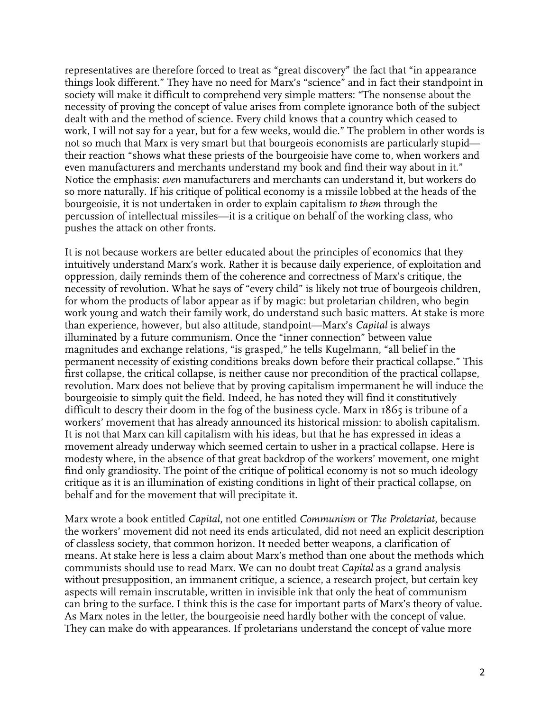representatives are therefore forced to treat as "great discovery" the fact that "in appearance things look different." They have no need for Marx's "science" and in fact their standpoint in society will make it difficult to comprehend very simple matters: "The nonsense about the necessity of proving the concept of value arises from complete ignorance both of the subject dealt with and the method of science. Every child knows that a country which ceased to work, I will not say for a year, but for a few weeks, would die." The problem in other words is not so much that Marx is very smart but that bourgeois economists are particularly stupid their reaction "shows what these priests of the bourgeoisie have come to, when workers and even manufacturers and merchants understand my book and find their way about in it." Notice the emphasis: *even* manufacturers and merchants can understand it, but workers do so more naturally. If his critique of political economy is a missile lobbed at the heads of the bourgeoisie, it is not undertaken in order to explain capitalism *to them* through the percussion of intellectual missiles—it is a critique on behalf of the working class, who pushes the attack on other fronts.

It is not because workers are better educated about the principles of economics that they intuitively understand Marx's work. Rather it is because daily experience, of exploitation and oppression, daily reminds them of the coherence and correctness of Marx's critique, the necessity of revolution. What he says of "every child" is likely not true of bourgeois children, for whom the products of labor appear as if by magic: but proletarian children, who begin work young and watch their family work, do understand such basic matters. At stake is more than experience, however, but also attitude, standpoint—Marx's *Capital* is always illuminated by a future communism. Once the "inner connection" between value magnitudes and exchange relations, "is grasped," he tells Kugelmann, "all belief in the permanent necessity of existing conditions breaks down before their practical collapse." This first collapse, the critical collapse, is neither cause nor precondition of the practical collapse, revolution. Marx does not believe that by proving capitalism impermanent he will induce the bourgeoisie to simply quit the field. Indeed, he has noted they will find it constitutively difficult to descry their doom in the fog of the business cycle. Marx in 1865 is tribune of a workers' movement that has already announced its historical mission: to abolish capitalism. It is not that Marx can kill capitalism with his ideas, but that he has expressed in ideas a movement already underway which seemed certain to usher in a practical collapse. Here is modesty where, in the absence of that great backdrop of the workers' movement, one might find only grandiosity. The point of the critique of political economy is not so much ideology critique as it is an illumination of existing conditions in light of their practical collapse, on behalf and for the movement that will precipitate it.

Marx wrote a book entitled *Capital*, not one entitled *Communism* or *The Proletariat*, because the workers' movement did not need its ends articulated, did not need an explicit description of classless society, that common horizon. It needed better weapons, a clarification of means. At stake here is less a claim about Marx's method than one about the methods which communists should use to read Marx. We can no doubt treat *Capital* as a grand analysis without presupposition, an immanent critique, a science, a research project, but certain key aspects will remain inscrutable, written in invisible ink that only the heat of communism can bring to the surface. I think this is the case for important parts of Marx's theory of value. As Marx notes in the letter, the bourgeoisie need hardly bother with the concept of value. They can make do with appearances. If proletarians understand the concept of value more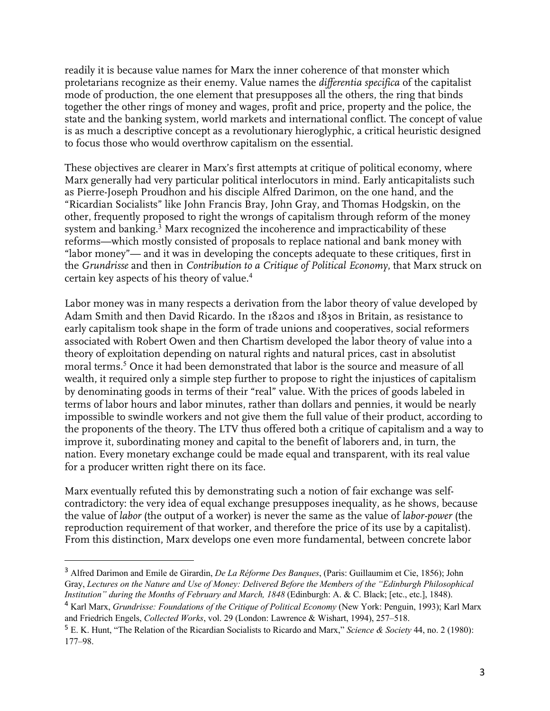readily it is because value names for Marx the inner coherence of that monster which proletarians recognize as their enemy. Value names the *differentia specifica* of the capitalist mode of production, the one element that presupposes all the others, the ring that binds together the other rings of money and wages, profit and price, property and the police, the state and the banking system, world markets and international conflict. The concept of value is as much a descriptive concept as a revolutionary hieroglyphic, a critical heuristic designed to focus those who would overthrow capitalism on the essential.

These objectives are clearer in Marx's first attempts at critique of political economy, where Marx generally had very particular political interlocutors in mind. Early anticapitalists such as Pierre-Joseph Proudhon and his disciple Alfred Darimon, on the one hand, and the "Ricardian Socialists" like John Francis Bray, John Gray, and Thomas Hodgskin, on the other, frequently proposed to right the wrongs of capitalism through reform of the money system and banking.<sup>3</sup> Marx recognized the incoherence and impracticability of these reforms—which mostly consisted of proposals to replace national and bank money with "labor money"— and it was in developing the concepts adequate to these critiques, first in the *Grundrisse* and then in *Contribution to a Critique of Political Economy*, that Marx struck on certain key aspects of his theory of value.<sup>4</sup>

Labor money was in many respects a derivation from the labor theory of value developed by Adam Smith and then David Ricardo. In the 1820s and 1830s in Britain, as resistance to early capitalism took shape in the form of trade unions and cooperatives, social reformers associated with Robert Owen and then Chartism developed the labor theory of value into a theory of exploitation depending on natural rights and natural prices, cast in absolutist moral terms.<sup>5</sup> Once it had been demonstrated that labor is the source and measure of all wealth, it required only a simple step further to propose to right the injustices of capitalism by denominating goods in terms of their "real" value. With the prices of goods labeled in terms of labor hours and labor minutes, rather than dollars and pennies, it would be nearly impossible to swindle workers and not give them the full value of their product, according to the proponents of the theory. The LTV thus offered both a critique of capitalism and a way to improve it, subordinating money and capital to the benefit of laborers and, in turn, the nation. Every monetary exchange could be made equal and transparent, with its real value for a producer written right there on its face.

Marx eventually refuted this by demonstrating such a notion of fair exchange was selfcontradictory: the very idea of equal exchange presupposes inequality, as he shows, because the value of *labor* (the output of a worker) is never the same as the value of *labor-power* (the reproduction requirement of that worker, and therefore the price of its use by a capitalist). From this distinction, Marx develops one even more fundamental, between concrete labor

<sup>3</sup> Alfred Darimon and Emile de Girardin, *De La Réforme Des Banques*, (Paris: Guillaumim et Cie, 1856); John Gray, *Lectures on the Nature and Use of Money: Delivered Before the Members of the "Edinburgh Philosophical Institution" during the Months of February and March, 1848* (Edinburgh: A. & C. Black; [etc., etc.], 1848).

<sup>4</sup> Karl Marx, *Grundrisse: Foundations of the Critique of Political Economy* (New York: Penguin, 1993); Karl Marx and Friedrich Engels, *Collected Works*, vol. 29 (London: Lawrence & Wishart, 1994), 257–518.

<sup>5</sup> E. K. Hunt, "The Relation of the Ricardian Socialists to Ricardo and Marx," *Science & Society* 44, no. 2 (1980): 177–98.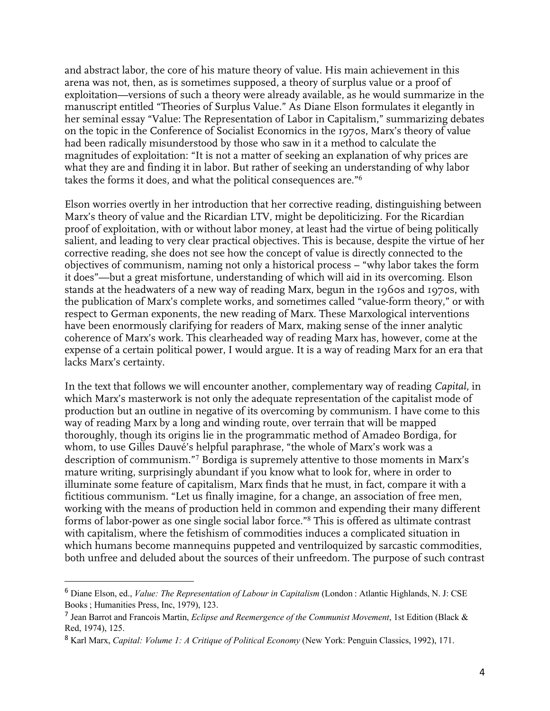and abstract labor, the core of his mature theory of value. His main achievement in this arena was not, then, as is sometimes supposed, a theory of surplus value or a proof of exploitation—versions of such a theory were already available, as he would summarize in the manuscript entitled "Theories of Surplus Value." As Diane Elson formulates it elegantly in her seminal essay "Value: The Representation of Labor in Capitalism," summarizing debates on the topic in the Conference of Socialist Economics in the 1970s, Marx's theory of value had been radically misunderstood by those who saw in it a method to calculate the magnitudes of exploitation: "It is not a matter of seeking an explanation of why prices are what they are and finding it in labor. But rather of seeking an understanding of why labor takes the forms it does, and what the political consequences are."<sup>6</sup>

Elson worries overtly in her introduction that her corrective reading, distinguishing between Marx's theory of value and the Ricardian LTV, might be depoliticizing. For the Ricardian proof of exploitation, with or without labor money, at least had the virtue of being politically salient, and leading to very clear practical objectives. This is because, despite the virtue of her corrective reading, she does not see how the concept of value is directly connected to the objectives of communism, naming not only a historical process – "why labor takes the form it does"—but a great misfortune, understanding of which will aid in its overcoming. Elson stands at the headwaters of a new way of reading Marx, begun in the 1960s and 1970s, with the publication of Marx's complete works, and sometimes called "value-form theory," or with respect to German exponents, the new reading of Marx. These Marxological interventions have been enormously clarifying for readers of Marx, making sense of the inner analytic coherence of Marx's work. This clearheaded way of reading Marx has, however, come at the expense of a certain political power, I would argue. It is a way of reading Marx for an era that lacks Marx's certainty.

In the text that follows we will encounter another, complementary way of reading *Capital*, in which Marx's masterwork is not only the adequate representation of the capitalist mode of production but an outline in negative of its overcoming by communism. I have come to this way of reading Marx by a long and winding route, over terrain that will be mapped thoroughly, though its origins lie in the programmatic method of Amadeo Bordiga, for whom, to use Gilles Dauvé's helpful paraphrase, "the whole of Marx's work was a description of communism."<sup>7</sup> Bordiga is supremely attentive to those moments in Marx's mature writing, surprisingly abundant if you know what to look for, where in order to illuminate some feature of capitalism, Marx finds that he must, in fact, compare it with a fictitious communism. "Let us finally imagine, for a change, an association of free men, working with the means of production held in common and expending their many different forms of labor-power as one single social labor force."<sup>8</sup> This is offered as ultimate contrast with capitalism, where the fetishism of commodities induces a complicated situation in which humans become mannequins puppeted and ventriloquized by sarcastic commodities, both unfree and deluded about the sources of their unfreedom. The purpose of such contrast

<sup>6</sup> Diane Elson, ed., *Value: The Representation of Labour in Capitalism* (London : Atlantic Highlands, N. J: CSE Books ; Humanities Press, Inc, 1979), 123.

<sup>7</sup> Jean Barrot and Francois Martin, *Eclipse and Reemergence of the Communist Movement*, 1st Edition (Black & Red, 1974), 125.

<sup>8</sup> Karl Marx, *Capital: Volume 1: A Critique of Political Economy* (New York: Penguin Classics, 1992), 171.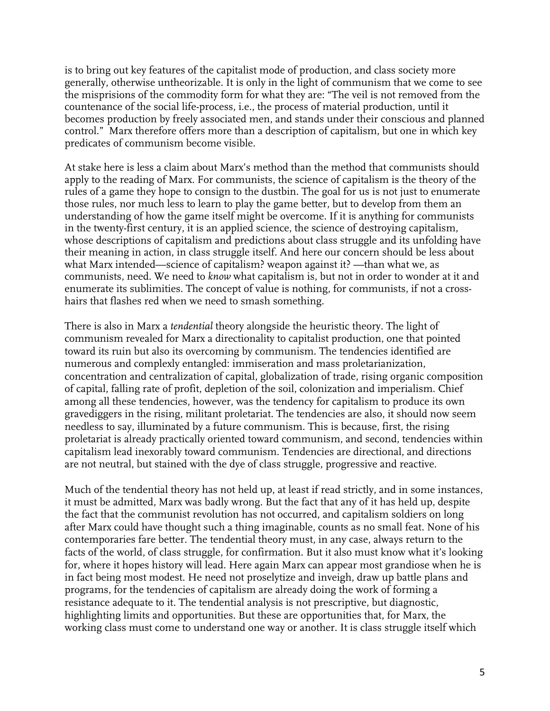is to bring out key features of the capitalist mode of production, and class society more generally, otherwise untheorizable. It is only in the light of communism that we come to see the misprisions of the commodity form for what they are: "The veil is not removed from the countenance of the social life-process, i.e., the process of material production, until it becomes production by freely associated men, and stands under their conscious and planned control." Marx therefore offers more than a description of capitalism, but one in which key predicates of communism become visible.

At stake here is less a claim about Marx's method than the method that communists should apply to the reading of Marx. For communists, the science of capitalism is the theory of the rules of a game they hope to consign to the dustbin. The goal for us is not just to enumerate those rules, nor much less to learn to play the game better, but to develop from them an understanding of how the game itself might be overcome. If it is anything for communists in the twenty-first century, it is an applied science, the science of destroying capitalism, whose descriptions of capitalism and predictions about class struggle and its unfolding have their meaning in action, in class struggle itself. And here our concern should be less about what Marx intended—science of capitalism? weapon against it? —than what we, as communists, need. We need to *know* what capitalism is, but not in order to wonder at it and enumerate its sublimities. The concept of value is nothing, for communists, if not a crosshairs that flashes red when we need to smash something.

There is also in Marx a *tendential* theory alongside the heuristic theory. The light of communism revealed for Marx a directionality to capitalist production, one that pointed toward its ruin but also its overcoming by communism. The tendencies identified are numerous and complexly entangled: immiseration and mass proletarianization, concentration and centralization of capital, globalization of trade, rising organic composition of capital, falling rate of profit, depletion of the soil, colonization and imperialism. Chief among all these tendencies, however, was the tendency for capitalism to produce its own gravediggers in the rising, militant proletariat. The tendencies are also, it should now seem needless to say, illuminated by a future communism. This is because, first, the rising proletariat is already practically oriented toward communism, and second, tendencies within capitalism lead inexorably toward communism. Tendencies are directional, and directions are not neutral, but stained with the dye of class struggle, progressive and reactive.

Much of the tendential theory has not held up, at least if read strictly, and in some instances, it must be admitted, Marx was badly wrong. But the fact that any of it has held up, despite the fact that the communist revolution has not occurred, and capitalism soldiers on long after Marx could have thought such a thing imaginable, counts as no small feat. None of his contemporaries fare better. The tendential theory must, in any case, always return to the facts of the world, of class struggle, for confirmation. But it also must know what it's looking for, where it hopes history will lead. Here again Marx can appear most grandiose when he is in fact being most modest. He need not proselytize and inveigh, draw up battle plans and programs, for the tendencies of capitalism are already doing the work of forming a resistance adequate to it. The tendential analysis is not prescriptive, but diagnostic, highlighting limits and opportunities. But these are opportunities that, for Marx, the working class must come to understand one way or another. It is class struggle itself which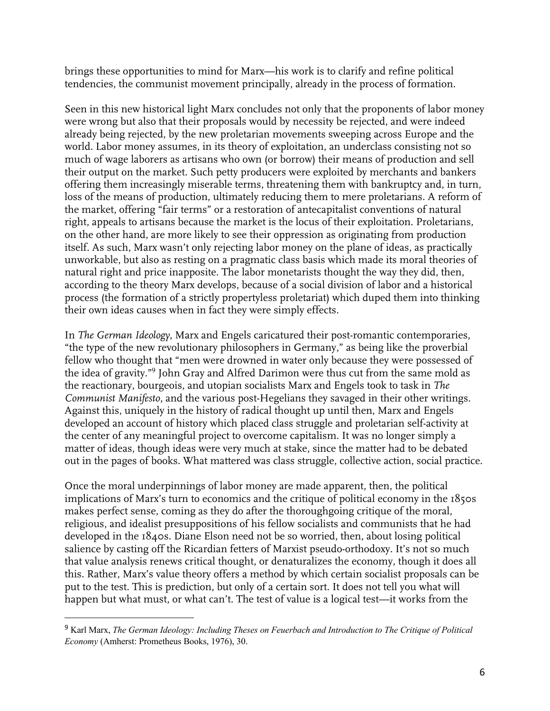brings these opportunities to mind for Marx—his work is to clarify and refine political tendencies, the communist movement principally, already in the process of formation.

Seen in this new historical light Marx concludes not only that the proponents of labor money were wrong but also that their proposals would by necessity be rejected, and were indeed already being rejected, by the new proletarian movements sweeping across Europe and the world. Labor money assumes, in its theory of exploitation, an underclass consisting not so much of wage laborers as artisans who own (or borrow) their means of production and sell their output on the market. Such petty producers were exploited by merchants and bankers offering them increasingly miserable terms, threatening them with bankruptcy and, in turn, loss of the means of production, ultimately reducing them to mere proletarians. A reform of the market, offering "fair terms" or a restoration of antecapitalist conventions of natural right, appeals to artisans because the market is the locus of their exploitation. Proletarians, on the other hand, are more likely to see their oppression as originating from production itself. As such, Marx wasn't only rejecting labor money on the plane of ideas, as practically unworkable, but also as resting on a pragmatic class basis which made its moral theories of natural right and price inapposite. The labor monetarists thought the way they did, then, according to the theory Marx develops, because of a social division of labor and a historical process (the formation of a strictly propertyless proletariat) which duped them into thinking their own ideas causes when in fact they were simply effects.

In *The German Ideology*, Marx and Engels caricatured their post-romantic contemporaries, "the type of the new revolutionary philosophers in Germany," as being like the proverbial fellow who thought that "men were drowned in water only because they were possessed of the idea of gravity."<sup>9</sup> John Gray and Alfred Darimon were thus cut from the same mold as the reactionary, bourgeois, and utopian socialists Marx and Engels took to task in *The Communist Manifesto*, and the various post-Hegelians they savaged in their other writings. Against this, uniquely in the history of radical thought up until then, Marx and Engels developed an account of history which placed class struggle and proletarian self-activity at the center of any meaningful project to overcome capitalism. It was no longer simply a matter of ideas, though ideas were very much at stake, since the matter had to be debated out in the pages of books. What mattered was class struggle, collective action, social practice.

Once the moral underpinnings of labor money are made apparent, then, the political implications of Marx's turn to economics and the critique of political economy in the 1850s makes perfect sense, coming as they do after the thoroughgoing critique of the moral, religious, and idealist presuppositions of his fellow socialists and communists that he had developed in the 1840s. Diane Elson need not be so worried, then, about losing political salience by casting off the Ricardian fetters of Marxist pseudo-orthodoxy. It's not so much that value analysis renews critical thought, or denaturalizes the economy, though it does all this. Rather, Marx's value theory offers a method by which certain socialist proposals can be put to the test. This is prediction, but only of a certain sort. It does not tell you what will happen but what must, or what can't. The test of value is a logical test—it works from the

<sup>9</sup> Karl Marx, *The German Ideology: Including Theses on Feuerbach and Introduction to The Critique of Political Economy* (Amherst: Prometheus Books, 1976), 30.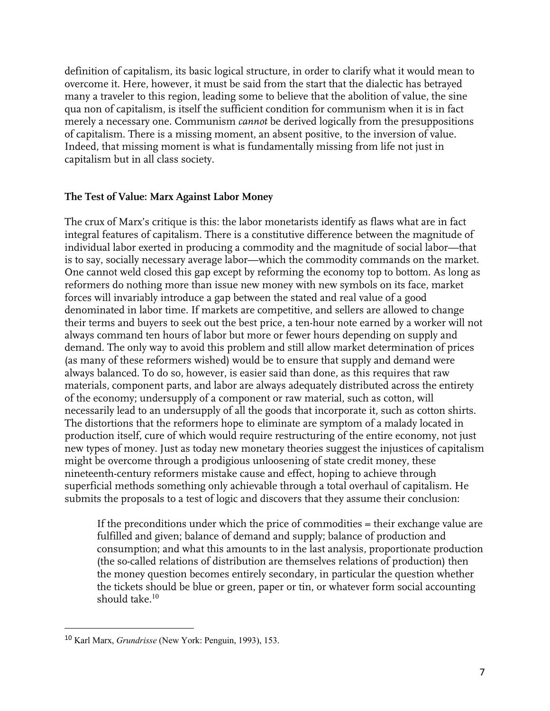definition of capitalism, its basic logical structure, in order to clarify what it would mean to overcome it. Here, however, it must be said from the start that the dialectic has betrayed many a traveler to this region, leading some to believe that the abolition of value, the sine qua non of capitalism, is itself the sufficient condition for communism when it is in fact merely a necessary one. Communism *cannot* be derived logically from the presuppositions of capitalism. There is a missing moment, an absent positive, to the inversion of value. Indeed, that missing moment is what is fundamentally missing from life not just in capitalism but in all class society.

#### **The Test of Value: Marx Against Labor Money**

The crux of Marx's critique is this: the labor monetarists identify as flaws what are in fact integral features of capitalism. There is a constitutive difference between the magnitude of individual labor exerted in producing a commodity and the magnitude of social labor—that is to say, socially necessary average labor—which the commodity commands on the market. One cannot weld closed this gap except by reforming the economy top to bottom. As long as reformers do nothing more than issue new money with new symbols on its face, market forces will invariably introduce a gap between the stated and real value of a good denominated in labor time. If markets are competitive, and sellers are allowed to change their terms and buyers to seek out the best price, a ten-hour note earned by a worker will not always command ten hours of labor but more or fewer hours depending on supply and demand. The only way to avoid this problem and still allow market determination of prices (as many of these reformers wished) would be to ensure that supply and demand were always balanced. To do so, however, is easier said than done, as this requires that raw materials, component parts, and labor are always adequately distributed across the entirety of the economy; undersupply of a component or raw material, such as cotton, will necessarily lead to an undersupply of all the goods that incorporate it, such as cotton shirts. The distortions that the reformers hope to eliminate are symptom of a malady located in production itself, cure of which would require restructuring of the entire economy, not just new types of money. Just as today new monetary theories suggest the injustices of capitalism might be overcome through a prodigious unloosening of state credit money, these nineteenth-century reformers mistake cause and effect, hoping to achieve through superficial methods something only achievable through a total overhaul of capitalism. He submits the proposals to a test of logic and discovers that they assume their conclusion:

If the preconditions under which the price of commodities = their exchange value are fulfilled and given; balance of demand and supply; balance of production and consumption; and what this amounts to in the last analysis, proportionate production (the so-called relations of distribution are themselves relations of production) then the money question becomes entirely secondary, in particular the question whether the tickets should be blue or green, paper or tin, or whatever form social accounting should take. $10$ 

<sup>10</sup> Karl Marx, *Grundrisse* (New York: Penguin, 1993), 153.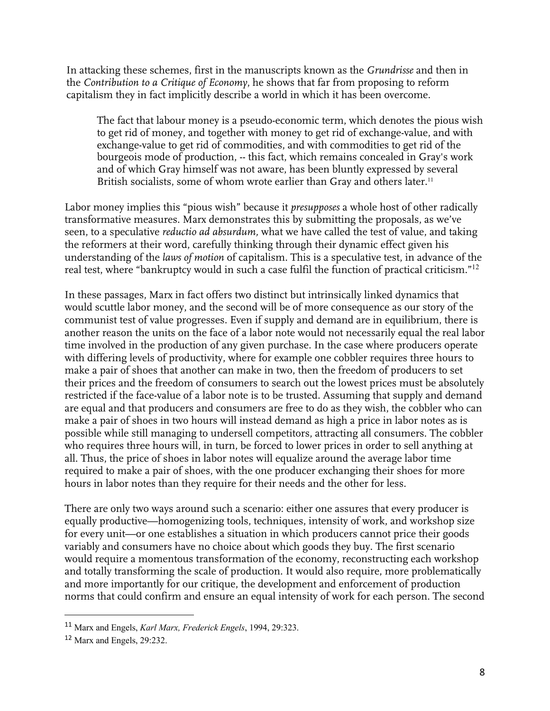In attacking these schemes, first in the manuscripts known as the *Grundrisse* and then in the *Contribution to a Critique of Economy*, he shows that far from proposing to reform capitalism they in fact implicitly describe a world in which it has been overcome.

The fact that labour money is a pseudo-economic term, which denotes the pious wish to get rid of money, and together with money to get rid of exchange-value, and with exchange-value to get rid of commodities, and with commodities to get rid of the bourgeois mode of production, -- this fact, which remains concealed in Gray's work and of which Gray himself was not aware, has been bluntly expressed by several British socialists, some of whom wrote earlier than Gray and others later.<sup>11</sup>

Labor money implies this "pious wish" because it *presupposes* a whole host of other radically transformative measures. Marx demonstrates this by submitting the proposals, as we've seen, to a speculative *reductio ad absurdum,* what we have called the test of value, and taking the reformers at their word, carefully thinking through their dynamic effect given his understanding of the *laws of motion* of capitalism. This is a speculative test, in advance of the real test, where "bankruptcy would in such a case fulfil the function of practical criticism."<sup>12</sup>

In these passages, Marx in fact offers two distinct but intrinsically linked dynamics that would scuttle labor money, and the second will be of more consequence as our story of the communist test of value progresses. Even if supply and demand are in equilibrium, there is another reason the units on the face of a labor note would not necessarily equal the real labor time involved in the production of any given purchase. In the case where producers operate with differing levels of productivity, where for example one cobbler requires three hours to make a pair of shoes that another can make in two, then the freedom of producers to set their prices and the freedom of consumers to search out the lowest prices must be absolutely restricted if the face-value of a labor note is to be trusted. Assuming that supply and demand are equal and that producers and consumers are free to do as they wish, the cobbler who can make a pair of shoes in two hours will instead demand as high a price in labor notes as is possible while still managing to undersell competitors, attracting all consumers. The cobbler who requires three hours will, in turn, be forced to lower prices in order to sell anything at all. Thus, the price of shoes in labor notes will equalize around the average labor time required to make a pair of shoes, with the one producer exchanging their shoes for more hours in labor notes than they require for their needs and the other for less.

There are only two ways around such a scenario: either one assures that every producer is equally productive—homogenizing tools, techniques, intensity of work, and workshop size for every unit—or one establishes a situation in which producers cannot price their goods variably and consumers have no choice about which goods they buy. The first scenario would require a momentous transformation of the economy, reconstructing each workshop and totally transforming the scale of production. It would also require, more problematically and more importantly for our critique, the development and enforcement of production norms that could confirm and ensure an equal intensity of work for each person. The second

<sup>11</sup> Marx and Engels, *Karl Marx, Frederick Engels*, 1994, 29:323.

<sup>12</sup> Marx and Engels, 29:232.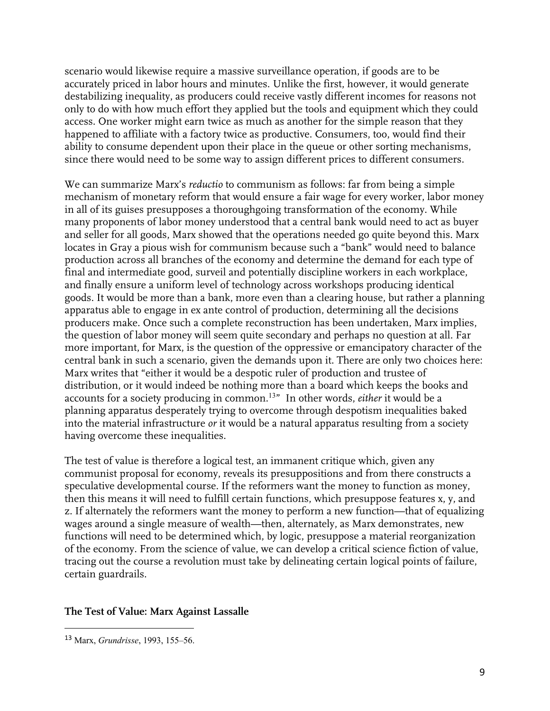scenario would likewise require a massive surveillance operation, if goods are to be accurately priced in labor hours and minutes. Unlike the first, however, it would generate destabilizing inequality, as producers could receive vastly different incomes for reasons not only to do with how much effort they applied but the tools and equipment which they could access. One worker might earn twice as much as another for the simple reason that they happened to affiliate with a factory twice as productive. Consumers, too, would find their ability to consume dependent upon their place in the queue or other sorting mechanisms, since there would need to be some way to assign different prices to different consumers.

We can summarize Marx's *reductio* to communism as follows: far from being a simple mechanism of monetary reform that would ensure a fair wage for every worker, labor money in all of its guises presupposes a thoroughgoing transformation of the economy. While many proponents of labor money understood that a central bank would need to act as buyer and seller for all goods, Marx showed that the operations needed go quite beyond this. Marx locates in Gray a pious wish for communism because such a "bank" would need to balance production across all branches of the economy and determine the demand for each type of final and intermediate good, surveil and potentially discipline workers in each workplace, and finally ensure a uniform level of technology across workshops producing identical goods. It would be more than a bank, more even than a clearing house, but rather a planning apparatus able to engage in ex ante control of production, determining all the decisions producers make. Once such a complete reconstruction has been undertaken, Marx implies, the question of labor money will seem quite secondary and perhaps no question at all. Far more important, for Marx, is the question of the oppressive or emancipatory character of the central bank in such a scenario, given the demands upon it. There are only two choices here: Marx writes that "either it would be a despotic ruler of production and trustee of distribution, or it would indeed be nothing more than a board which keeps the books and accounts for a society producing in common.<sup>13</sup>" In other words, *either* it would be a planning apparatus desperately trying to overcome through despotism inequalities baked into the material infrastructure *or* it would be a natural apparatus resulting from a society having overcome these inequalities.

The test of value is therefore a logical test, an immanent critique which, given any communist proposal for economy, reveals its presuppositions and from there constructs a speculative developmental course. If the reformers want the money to function as money, then this means it will need to fulfill certain functions, which presuppose features x, y, and z. If alternately the reformers want the money to perform a new function—that of equalizing wages around a single measure of wealth—then, alternately, as Marx demonstrates, new functions will need to be determined which, by logic, presuppose a material reorganization of the economy. From the science of value, we can develop a critical science fiction of value, tracing out the course a revolution must take by delineating certain logical points of failure, certain guardrails.

#### **The Test of Value: Marx Against Lassalle**

<sup>13</sup> Marx, *Grundrisse*, 1993, 155–56.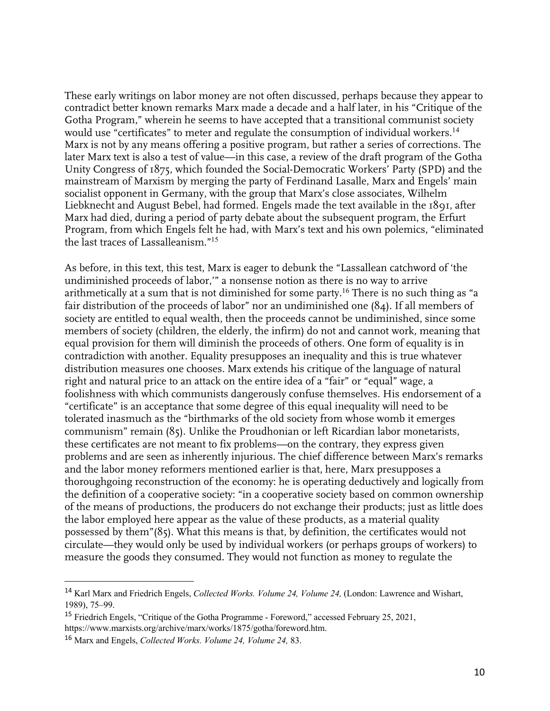These early writings on labor money are not often discussed, perhaps because they appear to contradict better known remarks Marx made a decade and a half later, in his "Critique of the Gotha Program," wherein he seems to have accepted that a transitional communist society would use "certificates" to meter and regulate the consumption of individual workers.<sup>14</sup> Marx is not by any means offering a positive program, but rather a series of corrections. The later Marx text is also a test of value—in this case, a review of the draft program of the Gotha Unity Congress of 1875, which founded the Social-Democratic Workers' Party (SPD) and the mainstream of Marxism by merging the party of Ferdinand Lasalle, Marx and Engels' main socialist opponent in Germany, with the group that Marx's close associates, Wilhelm Liebknecht and August Bebel, had formed. Engels made the text available in the 1891, after Marx had died, during a period of party debate about the subsequent program, the Erfurt Program, from which Engels felt he had, with Marx's text and his own polemics, "eliminated the last traces of Lassalleanism."<sup>15</sup>

As before, in this text, this test, Marx is eager to debunk the "Lassallean catchword of 'the undiminished proceeds of labor,'" a nonsense notion as there is no way to arrive arithmetically at a sum that is not diminished for some party. $^{16}$  There is no such thing as "a fair distribution of the proceeds of labor" nor an undiminished one (84). If all members of society are entitled to equal wealth, then the proceeds cannot be undiminished, since some members of society (children, the elderly, the infirm) do not and cannot work, meaning that equal provision for them will diminish the proceeds of others. One form of equality is in contradiction with another. Equality presupposes an inequality and this is true whatever distribution measures one chooses. Marx extends his critique of the language of natural right and natural price to an attack on the entire idea of a "fair" or "equal" wage, a foolishness with which communists dangerously confuse themselves. His endorsement of a "certificate" is an acceptance that some degree of this equal inequality will need to be tolerated inasmuch as the "birthmarks of the old society from whose womb it emerges communism" remain (85). Unlike the Proudhonian or left Ricardian labor monetarists, these certificates are not meant to fix problems—on the contrary, they express given problems and are seen as inherently injurious. The chief difference between Marx's remarks and the labor money reformers mentioned earlier is that, here, Marx presupposes a thoroughgoing reconstruction of the economy: he is operating deductively and logically from the definition of a cooperative society: "in a cooperative society based on common ownership of the means of productions, the producers do not exchange their products; just as little does the labor employed here appear as the value of these products, as a material quality possessed by them"(85). What this means is that, by definition, the certificates would not circulate—they would only be used by individual workers (or perhaps groups of workers) to measure the goods they consumed. They would not function as money to regulate the

<sup>14</sup> Karl Marx and Friedrich Engels, *Collected Works. Volume 24, Volume 24,* (London: Lawrence and Wishart, 1989), 75–99.

<sup>&</sup>lt;sup>15</sup> Friedrich Engels, "Critique of the Gotha Programme - Foreword," accessed February 25, 2021, https://www.marxists.org/archive/marx/works/1875/gotha/foreword.htm.

<sup>16</sup> Marx and Engels, *Collected Works. Volume 24, Volume 24,* 83.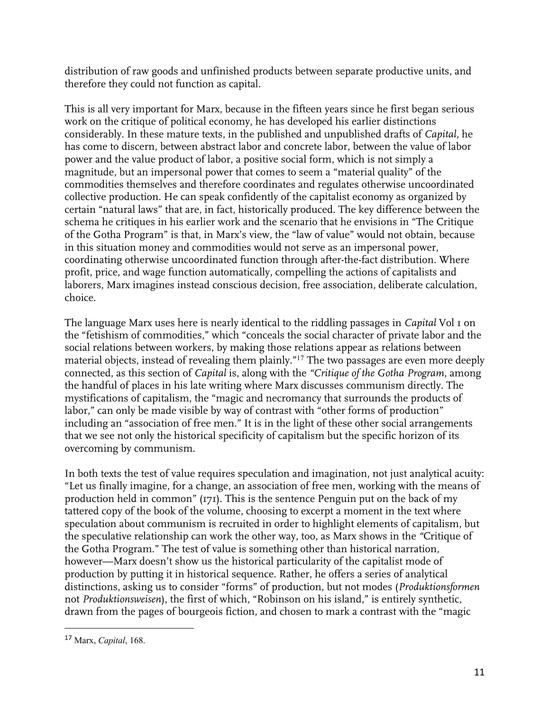distribution of raw goods and unfinished products between separate productive units, and therefore they could not function as capital.

This is all very important for Marx, because in the fifteen years since he first began serious work on the critique of political economy, he has developed his earlier distinctions considerably. In these mature texts, in the published and unpublished drafts of *Capital,* he has come to discern, between abstract labor and concrete labor, between the value of labor power and the value product of labor, a positive social form, which is not simply a magnitude, but an impersonal power that comes to seem a "material quality" of the commodities themselves and therefore coordinates and regulates otherwise uncoordinated collective production. He can speak confidently of the capitalist economy as organized by certain "natural laws" that are, in fact, historically produced. The key difference between the schema he critiques in his earlier work and the scenario that he envisions in "The Critique of the Gotha Program" is that, in Marx's view, the "law of value" would not obtain, because in this situation money and commodities would not serve as an impersonal power, coordinating otherwise uncoordinated function through after-the-fact distribution. Where profit, price, and wage function automatically, compelling the actions of capitalists and laborers, Marx imagines instead conscious decision, free association, deliberate calculation, choice.

The language Marx uses here is nearly identical to the riddling passages in *Capital* Vol 1 on the "fetishism of commodities," which "conceals the social character of private labor and the social relations between workers, by making those relations appear as relations between material objects, instead of revealing them plainly."<sup>17</sup> The two passages are even more deeply connected, as this section of *Capital* is, along with the *"Critique of the Gotha Program*, among the handful of places in his late writing where Marx discusses communism directly. The mystifications of capitalism, the "magic and necromancy that surrounds the products of labor," can only be made visible by way of contrast with "other forms of production" including an "association of free men." It is in the light of these other social arrangements that we see not only the historical specificity of capitalism but the specific horizon of its overcoming by communism.

In both texts the test of value requires speculation and imagination, not just analytical acuity: "Let us finally imagine, for a change, an association of free men, working with the means of production held in common" (171). This is the sentence Penguin put on the back of my tattered copy of the book of the volume, choosing to excerpt a moment in the text where speculation about communism is recruited in order to highlight elements of capitalism, but the speculative relationship can work the other way, too, as Marx shows in the *"*Critique of the Gotha Program." The test of value is something other than historical narration, however—Marx doesn't show us the historical particularity of the capitalist mode of production by putting it in historical sequence. Rather, he offers a series of analytical distinctions, asking us to consider "forms" of production, but not modes (*Produktionsformen* not *Produktionsweisen*), the first of which, "Robinson on his island," is entirely synthetic, drawn from the pages of bourgeois fiction, and chosen to mark a contrast with the "magic

<sup>17</sup> Marx, *Capital*, 168.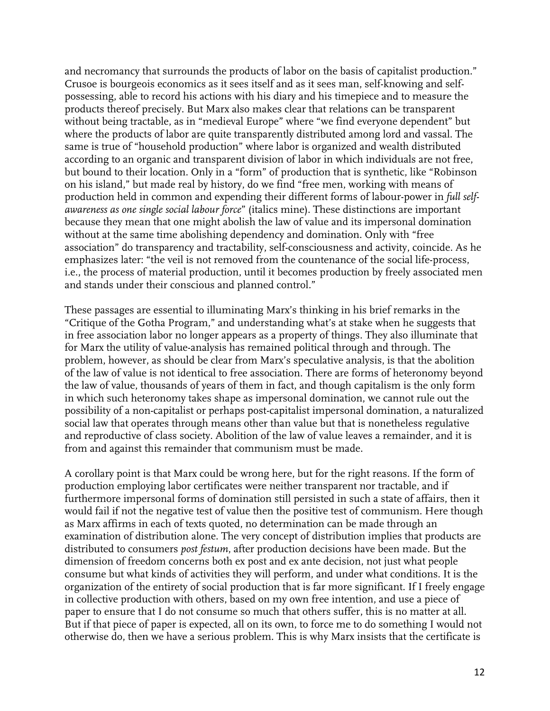and necromancy that surrounds the products of labor on the basis of capitalist production." Crusoe is bourgeois economics as it sees itself and as it sees man, self-knowing and selfpossessing, able to record his actions with his diary and his timepiece and to measure the products thereof precisely. But Marx also makes clear that relations can be transparent without being tractable, as in "medieval Europe" where "we find everyone dependent" but where the products of labor are quite transparently distributed among lord and vassal. The same is true of "household production" where labor is organized and wealth distributed according to an organic and transparent division of labor in which individuals are not free, but bound to their location. Only in a "form" of production that is synthetic, like "Robinson on his island," but made real by history, do we find "free men, working with means of production held in common and expending their different forms of labour-power in *full selfawareness as one single social labour force*" (italics mine). These distinctions are important because they mean that one might abolish the law of value and its impersonal domination without at the same time abolishing dependency and domination. Only with "free association" do transparency and tractability, self-consciousness and activity, coincide. As he emphasizes later: "the veil is not removed from the countenance of the social life-process, i.e., the process of material production, until it becomes production by freely associated men and stands under their conscious and planned control."

These passages are essential to illuminating Marx's thinking in his brief remarks in the "Critique of the Gotha Program," and understanding what's at stake when he suggests that in free association labor no longer appears as a property of things. They also illuminate that for Marx the utility of value-analysis has remained political through and through. The problem, however, as should be clear from Marx's speculative analysis, is that the abolition of the law of value is not identical to free association. There are forms of heteronomy beyond the law of value, thousands of years of them in fact, and though capitalism is the only form in which such heteronomy takes shape as impersonal domination, we cannot rule out the possibility of a non-capitalist or perhaps post-capitalist impersonal domination, a naturalized social law that operates through means other than value but that is nonetheless regulative and reproductive of class society. Abolition of the law of value leaves a remainder, and it is from and against this remainder that communism must be made.

A corollary point is that Marx could be wrong here, but for the right reasons. If the form of production employing labor certificates were neither transparent nor tractable, and if furthermore impersonal forms of domination still persisted in such a state of affairs, then it would fail if not the negative test of value then the positive test of communism. Here though as Marx affirms in each of texts quoted, no determination can be made through an examination of distribution alone. The very concept of distribution implies that products are distributed to consumers *post festum*, after production decisions have been made. But the dimension of freedom concerns both ex post and ex ante decision, not just what people consume but what kinds of activities they will perform, and under what conditions. It is the organization of the entirety of social production that is far more significant. If I freely engage in collective production with others, based on my own free intention, and use a piece of paper to ensure that I do not consume so much that others suffer, this is no matter at all. But if that piece of paper is expected, all on its own, to force me to do something I would not otherwise do, then we have a serious problem. This is why Marx insists that the certificate is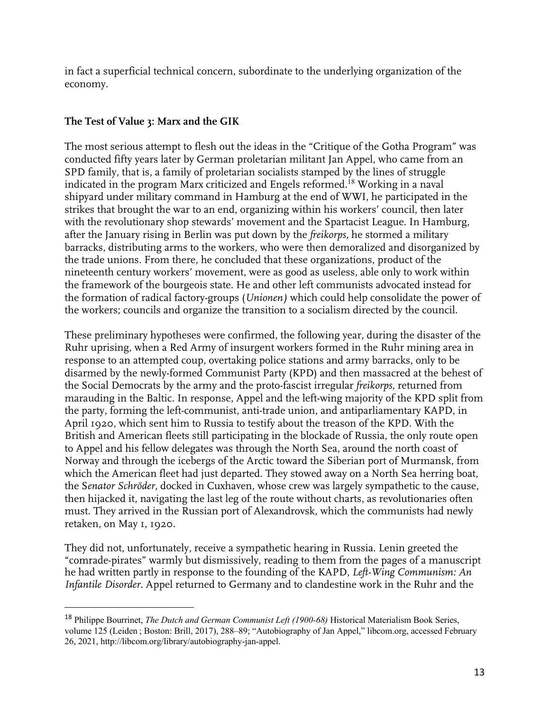in fact a superficial technical concern, subordinate to the underlying organization of the economy.

## **The Test of Value 3: Marx and the GIK**

The most serious attempt to flesh out the ideas in the "Critique of the Gotha Program" was conducted fifty years later by German proletarian militant Jan Appel, who came from an SPD family, that is, a family of proletarian socialists stamped by the lines of struggle indicated in the program Marx criticized and Engels reformed.<sup>18</sup> Working in a naval shipyard under military command in Hamburg at the end of WWI, he participated in the strikes that brought the war to an end, organizing within his workers' council, then later with the revolutionary shop stewards' movement and the Spartacist League. In Hamburg, after the January rising in Berlin was put down by the *freikorps,* he stormed a military barracks, distributing arms to the workers, who were then demoralized and disorganized by the trade unions. From there, he concluded that these organizations, product of the nineteenth century workers' movement, were as good as useless, able only to work within the framework of the bourgeois state. He and other left communists advocated instead for the formation of radical factory-groups (*Unionen)* which could help consolidate the power of the workers; councils and organize the transition to a socialism directed by the council.

These preliminary hypotheses were confirmed, the following year, during the disaster of the Ruhr uprising, when a Red Army of insurgent workers formed in the Ruhr mining area in response to an attempted coup, overtaking police stations and army barracks, only to be disarmed by the newly-formed Communist Party (KPD) and then massacred at the behest of the Social Democrats by the army and the proto-fascist irregular *freikorps*, returned from marauding in the Baltic*.* In response, Appel and the left-wing majority of the KPD split from the party, forming the left-communist, anti-trade union, and antiparliamentary KAPD, in April 1920, which sent him to Russia to testify about the treason of the KPD. With the British and American fleets still participating in the blockade of Russia, the only route open to Appel and his fellow delegates was through the North Sea, around the north coast of Norway and through the icebergs of the Arctic toward the Siberian port of Murmansk, from which the American fleet had just departed. They stowed away on a North Sea herring boat, the S*enator Schröder*, docked in Cuxhaven, whose crew was largely sympathetic to the cause, then hijacked it, navigating the last leg of the route without charts, as revolutionaries often must. They arrived in the Russian port of Alexandrovsk, which the communists had newly retaken, on May 1, 1920.

They did not, unfortunately, receive a sympathetic hearing in Russia. Lenin greeted the "comrade-pirates" warmly but dismissively, reading to them from the pages of a manuscript he had written partly in response to the founding of the KAPD, *Left-Wing Communism: An Infantile Disorder*. Appel returned to Germany and to clandestine work in the Ruhr and the

<sup>18</sup> Philippe Bourrinet, *The Dutch and German Communist Left (1900-68)* Historical Materialism Book Series, volume 125 (Leiden ; Boston: Brill, 2017), 288–89; "Autobiography of Jan Appel," libcom.org, accessed February 26, 2021, http://libcom.org/library/autobiography-jan-appel.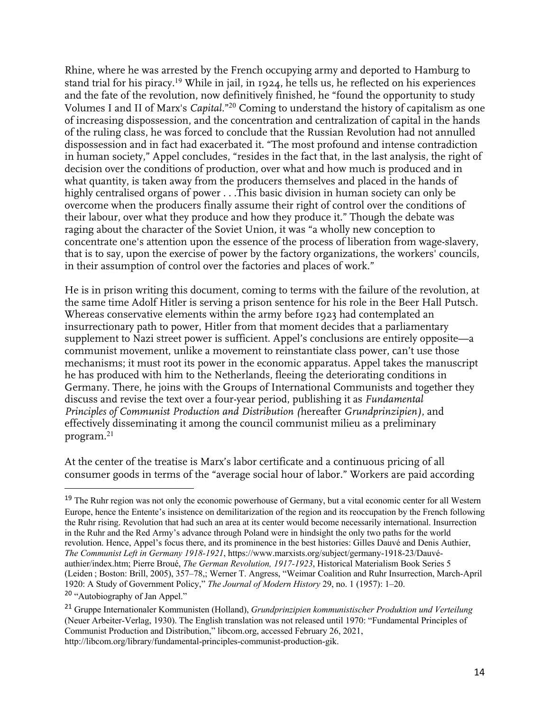Rhine, where he was arrested by the French occupying army and deported to Hamburg to stand trial for his piracy.<sup>19</sup> While in jail, in 1924, he tells us, he reflected on his experiences and the fate of the revolution, now definitively finished, he "found the opportunity to study Volumes I and II of Marx's *Capital.*"<sup>20</sup> Coming to understand the history of capitalism as one of increasing dispossession, and the concentration and centralization of capital in the hands of the ruling class, he was forced to conclude that the Russian Revolution had not annulled dispossession and in fact had exacerbated it. "The most profound and intense contradiction in human society," Appel concludes, "resides in the fact that, in the last analysis, the right of decision over the conditions of production, over what and how much is produced and in what quantity, is taken away from the producers themselves and placed in the hands of highly centralised organs of power . . .This basic division in human society can only be overcome when the producers finally assume their right of control over the conditions of their labour, over what they produce and how they produce it." Though the debate was raging about the character of the Soviet Union, it was "a wholly new conception to concentrate one's attention upon the essence of the process of liberation from wage-slavery, that is to say, upon the exercise of power by the factory organizations, the workers' councils, in their assumption of control over the factories and places of work."

He is in prison writing this document, coming to terms with the failure of the revolution, at the same time Adolf Hitler is serving a prison sentence for his role in the Beer Hall Putsch. Whereas conservative elements within the army before 1923 had contemplated an insurrectionary path to power, Hitler from that moment decides that a parliamentary supplement to Nazi street power is sufficient. Appel's conclusions are entirely opposite—a communist movement, unlike a movement to reinstantiate class power, can't use those mechanisms; it must root its power in the economic apparatus. Appel takes the manuscript he has produced with him to the Netherlands, fleeing the deteriorating conditions in Germany. There, he joins with the Groups of International Communists and together they discuss and revise the text over a four-year period, publishing it as *Fundamental Principles of Communist Production and Distribution (*hereafter *Grundprinzipien)*, and effectively disseminating it among the council communist milieu as a preliminary program. 21

At the center of the treatise is Marx's labor certificate and a continuous pricing of all consumer goods in terms of the "average social hour of labor." Workers are paid according

<sup>20</sup> "Autobiography of Jan Appel."

<sup>&</sup>lt;sup>19</sup> The Ruhr region was not only the economic powerhouse of Germany, but a vital economic center for all Western Europe, hence the Entente's insistence on demilitarization of the region and its reoccupation by the French following the Ruhr rising. Revolution that had such an area at its center would become necessarily international. Insurrection in the Ruhr and the Red Army's advance through Poland were in hindsight the only two paths for the world revolution. Hence, Appel's focus there, and its prominence in the best histories: Gilles Dauvé and Denis Authier, *The Communist Left in Germany 1918-1921*, https://www.marxists.org/subject/germany-1918-23/Dauvéauthier/index.htm; Pierre Broué, *The German Revolution, 1917-1923*, Historical Materialism Book Series 5 (Leiden ; Boston: Brill, 2005), 357–78,; Werner T. Angress, "Weimar Coalition and Ruhr Insurrection, March-April 1920: A Study of Government Policy," *The Journal of Modern History* 29, no. 1 (1957): 1–20.

<sup>21</sup> Gruppe Internationaler Kommunisten (Holland), *Grundprinzipien kommunistischer Produktion und Verteilung* (Neuer Arbeiter-Verlag, 1930). The English translation was not released until 1970: "Fundamental Principles of Communist Production and Distribution," libcom.org, accessed February 26, 2021, http://libcom.org/library/fundamental-principles-communist-production-gik.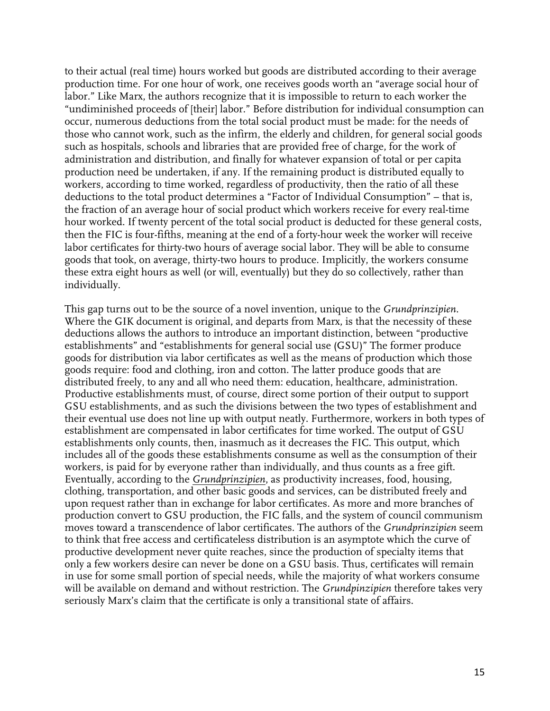to their actual (real time) hours worked but goods are distributed according to their average production time. For one hour of work, one receives goods worth an "average social hour of labor." Like Marx, the authors recognize that it is impossible to return to each worker the "undiminished proceeds of [their] labor." Before distribution for individual consumption can occur, numerous deductions from the total social product must be made: for the needs of those who cannot work, such as the infirm, the elderly and children, for general social goods such as hospitals, schools and libraries that are provided free of charge, for the work of administration and distribution, and finally for whatever expansion of total or per capita production need be undertaken, if any. If the remaining product is distributed equally to workers, according to time worked, regardless of productivity, then the ratio of all these deductions to the total product determines a "Factor of Individual Consumption" – that is, the fraction of an average hour of social product which workers receive for every real-time hour worked. If twenty percent of the total social product is deducted for these general costs, then the FIC is four-fifths, meaning at the end of a forty-hour week the worker will receive labor certificates for thirty-two hours of average social labor. They will be able to consume goods that took, on average, thirty-two hours to produce. Implicitly, the workers consume these extra eight hours as well (or will, eventually) but they do so collectively, rather than individually.

This gap turns out to be the source of a novel invention, unique to the *Grundprinzipien*. Where the GIK document is original, and departs from Marx, is that the necessity of these deductions allows the authors to introduce an important distinction, between "productive establishments" and "establishments for general social use (GSU)" The former produce goods for distribution via labor certificates as well as the means of production which those goods require: food and clothing, iron and cotton. The latter produce goods that are distributed freely, to any and all who need them: education, healthcare, administration. Productive establishments must, of course, direct some portion of their output to support GSU establishments, and as such the divisions between the two types of establishment and their eventual use does not line up with output neatly. Furthermore, workers in both types of establishment are compensated in labor certificates for time worked. The output of GSU establishments only counts, then, inasmuch as it decreases the FIC. This output, which includes all of the goods these establishments consume as well as the consumption of their workers, is paid for by everyone rather than individually, and thus counts as a free gift. Eventually, according to the *Grundprinzipien*, as productivity increases, food, housing, clothing, transportation, and other basic goods and services, can be distributed freely and upon request rather than in exchange for labor certificates. As more and more branches of production convert to GSU production, the FIC falls, and the system of council communism moves toward a transcendence of labor certificates. The authors of the *Grundprinzipien* seem to think that free access and certificateless distribution is an asymptote which the curve of productive development never quite reaches, since the production of specialty items that only a few workers desire can never be done on a GSU basis. Thus, certificates will remain in use for some small portion of special needs, while the majority of what workers consume will be available on demand and without restriction. The *Grundpinzipien* therefore takes very seriously Marx's claim that the certificate is only a transitional state of affairs.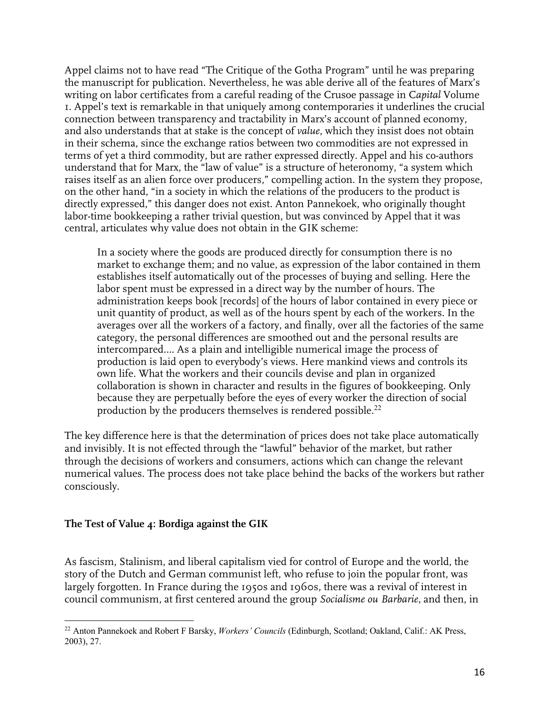Appel claims not to have read "The Critique of the Gotha Program" until he was preparing the manuscript for publication. Nevertheless, he was able derive all of the features of Marx's writing on labor certificates from a careful reading of the Crusoe passage in C*apital* Volume 1. Appel's text is remarkable in that uniquely among contemporaries it underlines the crucial connection between transparency and tractability in Marx's account of planned economy, and also understands that at stake is the concept of *value*, which they insist does not obtain in their schema, since the exchange ratios between two commodities are not expressed in terms of yet a third commodity, but are rather expressed directly. Appel and his co-authors understand that for Marx, the "law of value" is a structure of heteronomy, "a system which raises itself as an alien force over producers," compelling action. In the system they propose, on the other hand, "in a society in which the relations of the producers to the product is directly expressed," this danger does not exist. Anton Pannekoek, who originally thought labor-time bookkeeping a rather trivial question, but was convinced by Appel that it was central, articulates why value does not obtain in the GIK scheme:

In a society where the goods are produced directly for consumption there is no market to exchange them; and no value, as expression of the labor contained in them establishes itself automatically out of the processes of buying and selling. Here the labor spent must be expressed in a direct way by the number of hours. The administration keeps book [records] of the hours of labor contained in every piece or unit quantity of product, as well as of the hours spent by each of the workers. In the averages over all the workers of a factory, and finally, over all the factories of the same category, the personal differences are smoothed out and the personal results are intercompared…. As a plain and intelligible numerical image the process of production is laid open to everybody's views. Here mankind views and controls its own life. What the workers and their councils devise and plan in organized collaboration is shown in character and results in the figures of bookkeeping. Only because they are perpetually before the eyes of every worker the direction of social production by the producers themselves is rendered possible. $^{22}$ 

The key difference here is that the determination of prices does not take place automatically and invisibly. It is not effected through the "lawful" behavior of the market, but rather through the decisions of workers and consumers, actions which can change the relevant numerical values. The process does not take place behind the backs of the workers but rather consciously.

### **The Test of Value 4: Bordiga against the GIK**

As fascism, Stalinism, and liberal capitalism vied for control of Europe and the world, the story of the Dutch and German communist left, who refuse to join the popular front, was largely forgotten. In France during the 1950s and 1960s, there was a revival of interest in council communism, at first centered around the group *Socialisme ou Barbarie*, and then, in

<sup>22</sup> Anton Pannekoek and Robert F Barsky, *Workers' Councils* (Edinburgh, Scotland; Oakland, Calif.: AK Press, 2003), 27.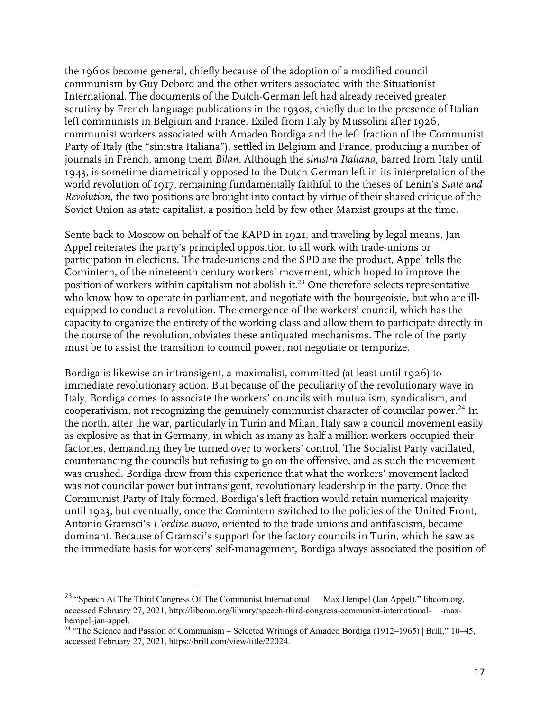the 1960s become general, chiefly because of the adoption of a modified council communism by Guy Debord and the other writers associated with the Situationist International. The documents of the Dutch-German left had already received greater scrutiny by French language publications in the 1930s, chiefly due to the presence of Italian left communists in Belgium and France. Exiled from Italy by Mussolini after 1926, communist workers associated with Amadeo Bordiga and the left fraction of the Communist Party of Italy (the "sinistra Italiana"), settled in Belgium and France, producing a number of journals in French, among them *Bilan.* Although the *sinistra Italiana*, barred from Italy until 1943, is sometime diametrically opposed to the Dutch-German left in its interpretation of the world revolution of 1917, remaining fundamentally faithful to the theses of Lenin's *State and Revolution,* the two positions are brought into contact by virtue of their shared critique of the Soviet Union as state capitalist, a position held by few other Marxist groups at the time.

Sente back to Moscow on behalf of the KAPD in 1921, and traveling by legal means, Jan Appel reiterates the party's principled opposition to all work with trade-unions or participation in elections. The trade-unions and the SPD are the product, Appel tells the Comintern, of the nineteenth-century workers' movement, which hoped to improve the position of workers within capitalism not abolish it.<sup>23</sup> One therefore selects representative who know how to operate in parliament, and negotiate with the bourgeoisie, but who are illequipped to conduct a revolution. The emergence of the workers' council, which has the capacity to organize the entirety of the working class and allow them to participate directly in the course of the revolution, obviates these antiquated mechanisms. The role of the party must be to assist the transition to council power, not negotiate or temporize.

Bordiga is likewise an intransigent, a maximalist, committed (at least until 1926) to immediate revolutionary action. But because of the peculiarity of the revolutionary wave in Italy, Bordiga comes to associate the workers' councils with mutualism, syndicalism, and cooperativism, not recognizing the genuinely communist character of councilar power.<sup>24</sup> In the north, after the war, particularly in Turin and Milan, Italy saw a council movement easily as explosive as that in Germany, in which as many as half a million workers occupied their factories, demanding they be turned over to workers' control. The Socialist Party vacillated, countenancing the councils but refusing to go on the offensive, and as such the movement was crushed. Bordiga drew from this experience that what the workers' movement lacked was not councilar power but intransigent, revolutionary leadership in the party. Once the Communist Party of Italy formed, Bordiga's left fraction would retain numerical majority until 1923, but eventually, once the Comintern switched to the policies of the United Front, Antonio Gramsci's *L'ordine nuovo*, oriented to the trade unions and antifascism, became dominant. Because of Gramsci's support for the factory councils in Turin, which he saw as the immediate basis for workers' self-management, Bordiga always associated the position of

<sup>&</sup>lt;sup>23</sup> "Speech At The Third Congress Of The Communist International — Max Hempel (Jan Appel)," libcom.org, accessed February 27, 2021, http://libcom.org/library/speech-third-congress-communist-international-—-maxhempel-jan-appel.

<sup>&</sup>lt;sup>24</sup> "The Science and Passion of Communism – Selected Writings of Amadeo Bordiga (1912–1965) | Brill," 10–45, accessed February 27, 2021, https://brill.com/view/title/22024.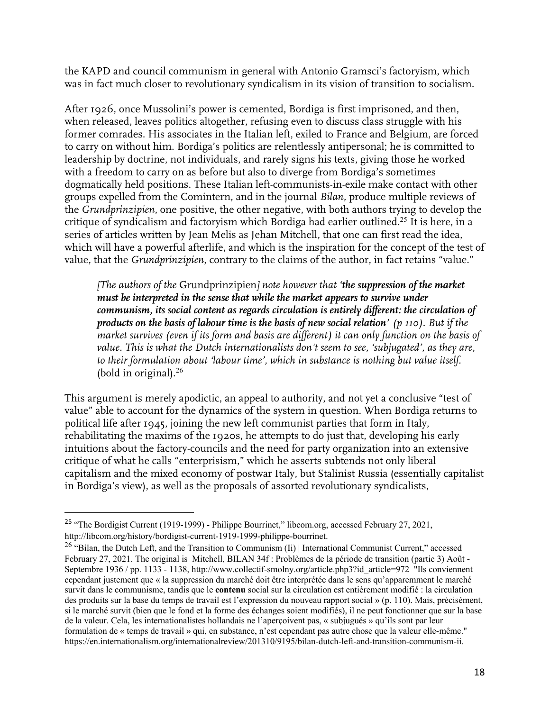the KAPD and council communism in general with Antonio Gramsci's factoryism, which was in fact much closer to revolutionary syndicalism in its vision of transition to socialism.

After 1926, once Mussolini's power is cemented, Bordiga is first imprisoned, and then, when released, leaves politics altogether, refusing even to discuss class struggle with his former comrades. His associates in the Italian left, exiled to France and Belgium, are forced to carry on without him. Bordiga's politics are relentlessly antipersonal; he is committed to leadership by doctrine, not individuals, and rarely signs his texts, giving those he worked with a freedom to carry on as before but also to diverge from Bordiga's sometimes dogmatically held positions. These Italian left-communists-in-exile make contact with other groups expelled from the Comintern, and in the journal *Bilan,* produce multiple reviews of the *Grundprinzipien*, one positive, the other negative, with both authors trying to develop the critique of syndicalism and factoryism which Bordiga had earlier outlined. <sup>25</sup> It is here, in a series of articles written by Jean Melis as Jehan Mitchell, that one can first read the idea, which will have a powerful afterlife, and which is the inspiration for the concept of the test of value, that the *Grundprinzipien*, contrary to the claims of the author, in fact retains "value."

*[The authors of the* Grundprinzipien*] note however that 'the suppression of the market must be interpreted in the sense that while the market appears to survive under communism, its social content as regards circulation is entirely different: the circulation of products on the basis of labour time is the basis of new social relation' (p 110). But if the market survives (even if its form and basis are different) it can only function on the basis of value. This is what the Dutch internationalists don't seem to see, 'subjugated', as they are, to their formulation about 'labour time', which in substance is nothing but value itself.* (bold in original).<sup>26</sup>

This argument is merely apodictic, an appeal to authority, and not yet a conclusive "test of value" able to account for the dynamics of the system in question. When Bordiga returns to political life after 1945, joining the new left communist parties that form in Italy, rehabilitating the maxims of the 1920s, he attempts to do just that, developing his early intuitions about the factory-councils and the need for party organization into an extensive critique of what he calls "enterprisism," which he asserts subtends not only liberal capitalism and the mixed economy of postwar Italy, but Stalinist Russia (essentially capitalist in Bordiga's view), as well as the proposals of assorted revolutionary syndicalists,

<sup>&</sup>lt;sup>25</sup> "The Bordigist Current (1919-1999) - Philippe Bourrinet," libcom.org, accessed February 27, 2021, http://libcom.org/history/bordigist-current-1919-1999-philippe-bourrinet.

<sup>&</sup>lt;sup>26</sup> "Bilan, the Dutch Left, and the Transition to Communism (Ii) | International Communist Current," accessed February 27, 2021. The original is Mitchell, BILAN 34f : Problèmes de la période de transition (partie 3) Août - Septembre 1936 / pp. 1133 - 1138, http://www.collectif-smolny.org/article.php3?id\_article=972 "Ils conviennent cependant justement que « la suppression du marché doit être interprétée dans le sens qu'apparemment le marché survit dans le communisme, tandis que le **contenu** social sur la circulation est entièrement modifié : la circulation des produits sur la base du temps de travail est l'expression du nouveau rapport social » (p. 110). Mais, précisément, si le marché survit (bien que le fond et la forme des échanges soient modifiés), il ne peut fonctionner que sur la base de la valeur. Cela, les internationalistes hollandais ne l'aperçoivent pas, « subjugués » qu'ils sont par leur formulation de « temps de travail » qui, en substance, n'est cependant pas autre chose que la valeur elle-même." https://en.internationalism.org/internationalreview/201310/9195/bilan-dutch-left-and-transition-communism-ii.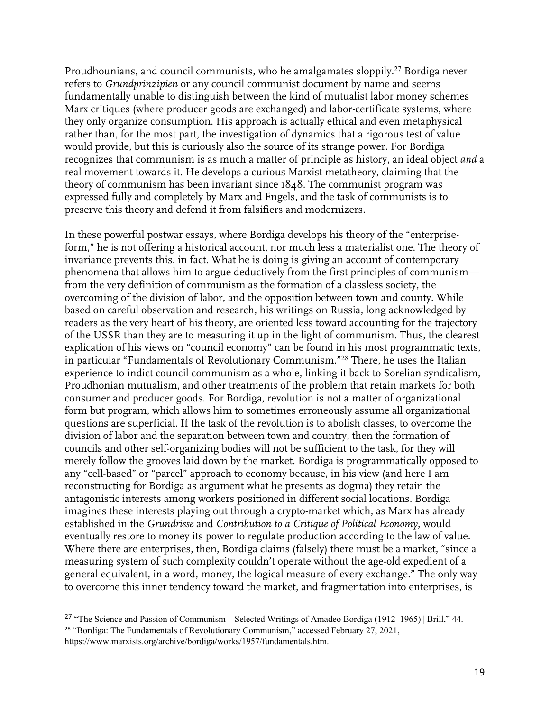Proudhounians, and council communists, who he amalgamates sloppily.<sup>27</sup> Bordiga never refers to *Grundprinzipien* or any council communist document by name and seems fundamentally unable to distinguish between the kind of mutualist labor money schemes Marx critiques (where producer goods are exchanged) and labor-certificate systems, where they only organize consumption. His approach is actually ethical and even metaphysical rather than, for the most part, the investigation of dynamics that a rigorous test of value would provide, but this is curiously also the source of its strange power. For Bordiga recognizes that communism is as much a matter of principle as history, an ideal object *and* a real movement towards it. He develops a curious Marxist metatheory, claiming that the theory of communism has been invariant since 1848. The communist program was expressed fully and completely by Marx and Engels, and the task of communists is to preserve this theory and defend it from falsifiers and modernizers.

In these powerful postwar essays, where Bordiga develops his theory of the "enterpriseform," he is not offering a historical account, nor much less a materialist one. The theory of invariance prevents this, in fact. What he is doing is giving an account of contemporary phenomena that allows him to argue deductively from the first principles of communism from the very definition of communism as the formation of a classless society, the overcoming of the division of labor, and the opposition between town and county. While based on careful observation and research, his writings on Russia, long acknowledged by readers as the very heart of his theory, are oriented less toward accounting for the trajectory of the USSR than they are to measuring it up in the light of communism. Thus, the clearest explication of his views on "council economy" can be found in his most programmatic texts, in particular "Fundamentals of Revolutionary Communism."<sup>28</sup> There, he uses the Italian experience to indict council communism as a whole, linking it back to Sorelian syndicalism, Proudhonian mutualism, and other treatments of the problem that retain markets for both consumer and producer goods. For Bordiga, revolution is not a matter of organizational form but program, which allows him to sometimes erroneously assume all organizational questions are superficial. If the task of the revolution is to abolish classes, to overcome the division of labor and the separation between town and country, then the formation of councils and other self-organizing bodies will not be sufficient to the task, for they will merely follow the grooves laid down by the market. Bordiga is programmatically opposed to any "cell-based" or "parcel" approach to economy because, in his view (and here I am reconstructing for Bordiga as argument what he presents as dogma) they retain the antagonistic interests among workers positioned in different social locations. Bordiga imagines these interests playing out through a crypto-market which, as Marx has already established in the *Grundrisse* and *Contribution to a Critique of Political Economy*, would eventually restore to money its power to regulate production according to the law of value. Where there are enterprises, then, Bordiga claims (falsely) there must be a market, "since a measuring system of such complexity couldn't operate without the age-old expedient of a general equivalent, in a word, money, the logical measure of every exchange." The only way to overcome this inner tendency toward the market, and fragmentation into enterprises, is

<sup>&</sup>lt;sup>27</sup> "The Science and Passion of Communism – Selected Writings of Amadeo Bordiga (1912–1965) | Brill," 44. <sup>28</sup> "Bordiga: The Fundamentals of Revolutionary Communism," accessed February 27, 2021, https://www.marxists.org/archive/bordiga/works/1957/fundamentals.htm.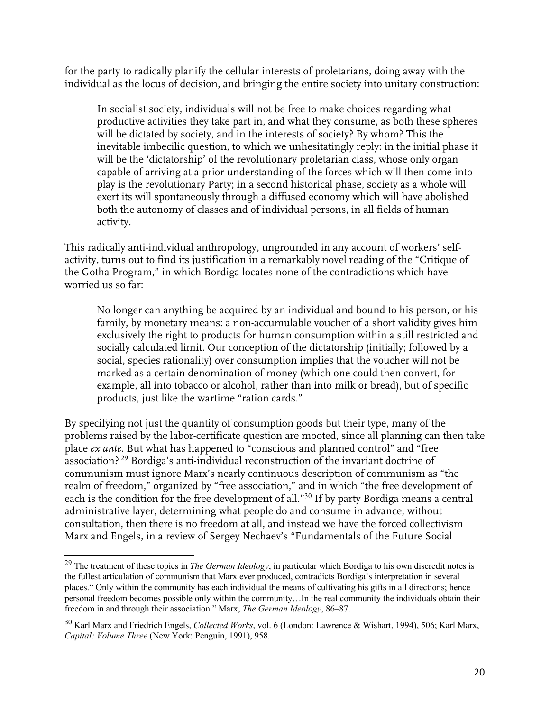for the party to radically planify the cellular interests of proletarians, doing away with the individual as the locus of decision, and bringing the entire society into unitary construction:

In socialist society, individuals will not be free to make choices regarding what productive activities they take part in, and what they consume, as both these spheres will be dictated by society, and in the interests of society? By whom? This the inevitable imbecilic question, to which we unhesitatingly reply: in the initial phase it will be the 'dictatorship' of the revolutionary proletarian class, whose only organ capable of arriving at a prior understanding of the forces which will then come into play is the revolutionary Party; in a second historical phase, society as a whole will exert its will spontaneously through a diffused economy which will have abolished both the autonomy of classes and of individual persons, in all fields of human activity.

This radically anti-individual anthropology, ungrounded in any account of workers' selfactivity, turns out to find its justification in a remarkably novel reading of the "Critique of the Gotha Program," in which Bordiga locates none of the contradictions which have worried us so far:

No longer can anything be acquired by an individual and bound to his person, or his family, by monetary means: a non-accumulable voucher of a short validity gives him exclusively the right to products for human consumption within a still restricted and socially calculated limit. Our conception of the dictatorship (initially; followed by a social, species rationality) over consumption implies that the voucher will not be marked as a certain denomination of money (which one could then convert, for example, all into tobacco or alcohol, rather than into milk or bread), but of specific products, just like the wartime "ration cards."

By specifying not just the quantity of consumption goods but their type, many of the problems raised by the labor-certificate question are mooted, since all planning can then take place *ex ante*. But what has happened to "conscious and planned control" and "free association? <sup>29</sup> Bordiga's anti-individual reconstruction of the invariant doctrine of communism must ignore Marx's nearly continuous description of communism as "the realm of freedom," organized by "free association," and in which "the free development of each is the condition for the free development of all."<sup>30</sup> If by party Bordiga means a central administrative layer, determining what people do and consume in advance, without consultation, then there is no freedom at all, and instead we have the forced collectivism Marx and Engels, in a review of Sergey Nechaev's "Fundamentals of the Future Social

<sup>29</sup> The treatment of these topics in *The German Ideology*, in particular which Bordiga to his own discredit notes is the fullest articulation of communism that Marx ever produced, contradicts Bordiga's interpretation in several places." Only within the community has each individual the means of cultivating his gifts in all directions; hence personal freedom becomes possible only within the community…In the real community the individuals obtain their freedom in and through their association." Marx, *The German Ideology*, 86–87.

<sup>30</sup> Karl Marx and Friedrich Engels, *Collected Works*, vol. 6 (London: Lawrence & Wishart, 1994), 506; Karl Marx, *Capital: Volume Three* (New York: Penguin, 1991), 958.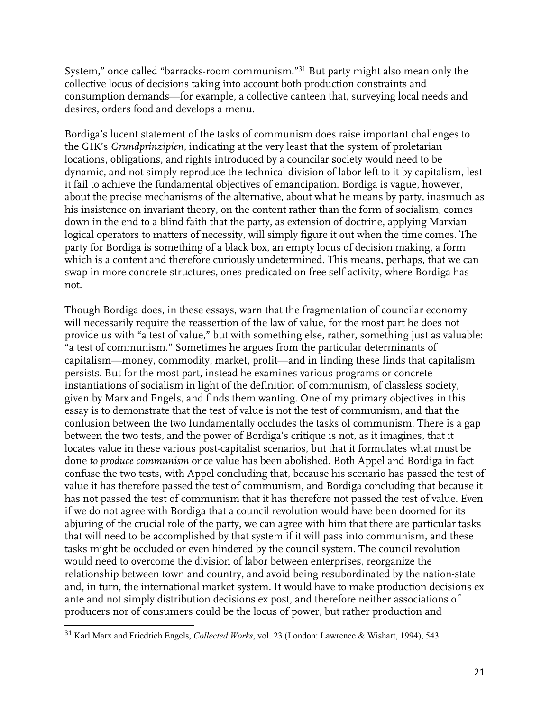System," once called "barracks-room communism."<sup>31</sup> But party might also mean only the collective locus of decisions taking into account both production constraints and consumption demands—for example, a collective canteen that, surveying local needs and desires, orders food and develops a menu.

Bordiga's lucent statement of the tasks of communism does raise important challenges to the GIK's *Grundprinzipien*, indicating at the very least that the system of proletarian locations, obligations, and rights introduced by a councilar society would need to be dynamic, and not simply reproduce the technical division of labor left to it by capitalism, lest it fail to achieve the fundamental objectives of emancipation. Bordiga is vague, however, about the precise mechanisms of the alternative, about what he means by party, inasmuch as his insistence on invariant theory, on the content rather than the form of socialism, comes down in the end to a blind faith that the party, as extension of doctrine, applying Marxian logical operators to matters of necessity, will simply figure it out when the time comes. The party for Bordiga is something of a black box, an empty locus of decision making, a form which is a content and therefore curiously undetermined. This means, perhaps, that we can swap in more concrete structures, ones predicated on free self-activity, where Bordiga has not.

Though Bordiga does, in these essays, warn that the fragmentation of councilar economy will necessarily require the reassertion of the law of value, for the most part he does not provide us with "a test of value," but with something else, rather, something just as valuable: "a test of communism." Sometimes he argues from the particular determinants of capitalism—money, commodity, market, profit—and in finding these finds that capitalism persists. But for the most part, instead he examines various programs or concrete instantiations of socialism in light of the definition of communism, of classless society, given by Marx and Engels, and finds them wanting. One of my primary objectives in this essay is to demonstrate that the test of value is not the test of communism, and that the confusion between the two fundamentally occludes the tasks of communism. There is a gap between the two tests, and the power of Bordiga's critique is not, as it imagines, that it locates value in these various post-capitalist scenarios, but that it formulates what must be done *to produce communism* once value has been abolished. Both Appel and Bordiga in fact confuse the two tests, with Appel concluding that, because his scenario has passed the test of value it has therefore passed the test of communism, and Bordiga concluding that because it has not passed the test of communism that it has therefore not passed the test of value. Even if we do not agree with Bordiga that a council revolution would have been doomed for its abjuring of the crucial role of the party, we can agree with him that there are particular tasks that will need to be accomplished by that system if it will pass into communism, and these tasks might be occluded or even hindered by the council system. The council revolution would need to overcome the division of labor between enterprises, reorganize the relationship between town and country, and avoid being resubordinated by the nation-state and, in turn, the international market system. It would have to make production decisions ex ante and not simply distribution decisions ex post, and therefore neither associations of producers nor of consumers could be the locus of power, but rather production and

<sup>31</sup> Karl Marx and Friedrich Engels, *Collected Works*, vol. 23 (London: Lawrence & Wishart, 1994), 543.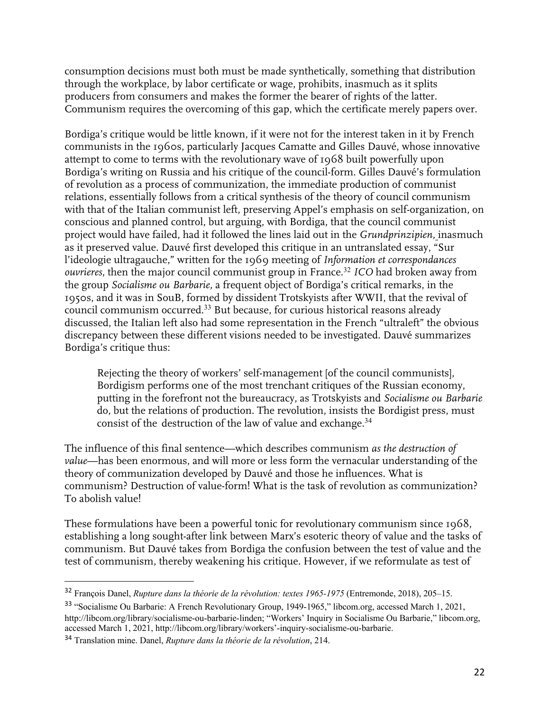consumption decisions must both must be made synthetically, something that distribution through the workplace, by labor certificate or wage, prohibits, inasmuch as it splits producers from consumers and makes the former the bearer of rights of the latter. Communism requires the overcoming of this gap, which the certificate merely papers over.

Bordiga's critique would be little known, if it were not for the interest taken in it by French communists in the 1960s, particularly Jacques Camatte and Gilles Dauvé, whose innovative attempt to come to terms with the revolutionary wave of 1968 built powerfully upon Bordiga's writing on Russia and his critique of the council-form. Gilles Dauvé's formulation of revolution as a process of communization, the immediate production of communist relations, essentially follows from a critical synthesis of the theory of council communism with that of the Italian communist left, preserving Appel's emphasis on self-organization, on conscious and planned control, but arguing, with Bordiga, that the council communist project would have failed, had it followed the lines laid out in the *Grundprinzipien,* inasmuch as it preserved value. Dauvé first developed this critique in an untranslated essay, "Sur l'ideologie ultragauche," written for the 1969 meeting of *Information et correspondances ouvrieres*, then the major council communist group in France.<sup>32</sup> *ICO* had broken away from the group *Socialisme ou Barbarie,* a frequent object of Bordiga's critical remarks, in the 1950s, and it was in SouB, formed by dissident Trotskyists after WWII, that the revival of council communism occurred. <sup>33</sup> But because, for curious historical reasons already discussed, the Italian left also had some representation in the French "ultraleft" the obvious discrepancy between these different visions needed to be investigated. Dauvé summarizes Bordiga's critique thus:

Rejecting the theory of workers' self-management [of the council communists], Bordigism performs one of the most trenchant critiques of the Russian economy, putting in the forefront not the bureaucracy, as Trotskyists and *Socialisme ou Barbarie*  do, but the relations of production. The revolution, insists the Bordigist press, must consist of the destruction of the law of value and exchange.<sup>34</sup>

The influence of this final sentence—which describes communism *as the destruction of value*—has been enormous, and will more or less form the vernacular understanding of the theory of communization developed by Dauvé and those he influences. What is communism? Destruction of value-form! What is the task of revolution as communization? To abolish value!

These formulations have been a powerful tonic for revolutionary communism since 1968, establishing a long sought-after link between Marx's esoteric theory of value and the tasks of communism. But Dauvé takes from Bordiga the confusion between the test of value and the test of communism, thereby weakening his critique. However, if we reformulate as test of

<sup>32</sup> François Danel, *Rupture dans la théorie de la révolution: textes 1965-1975* (Entremonde, 2018), 205–15.

<sup>33</sup> "Socialisme Ou Barbarie: A French Revolutionary Group, 1949-1965," libcom.org, accessed March 1, 2021, http://libcom.org/library/socialisme-ou-barbarie-linden; "Workers' Inquiry in Socialisme Ou Barbarie," libcom.org, accessed March 1, 2021, http://libcom.org/library/workers'-inquiry-socialisme-ou-barbarie.

<sup>34</sup> Translation mine. Danel, *Rupture dans la théorie de la révolution*, 214.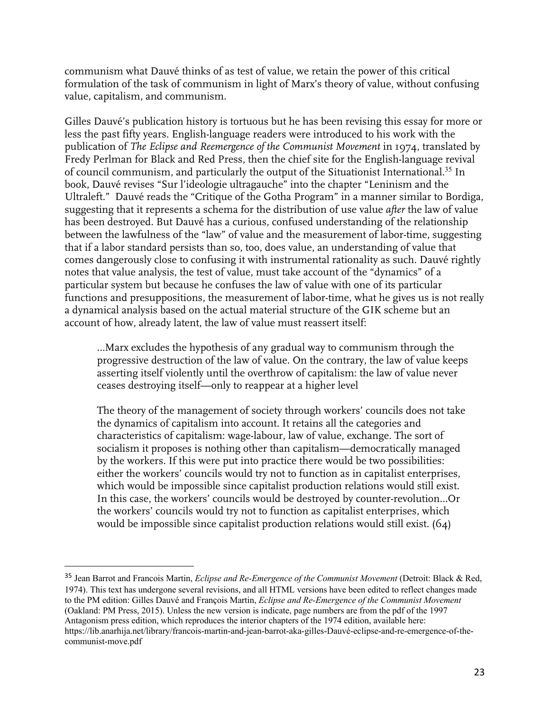communism what Dauvé thinks of as test of value, we retain the power of this critical formulation of the task of communism in light of Marx's theory of value, without confusing value, capitalism, and communism.

Gilles Dauvé's publication history is tortuous but he has been revising this essay for more or less the past fifty years. English-language readers were introduced to his work with the publication of *The Eclipse and Reemergence of the Communist Movement* in 1974, translated by Fredy Perlman for Black and Red Press, then the chief site for the English-language revival of council communism, and particularly the output of the Situationist International.<sup>35</sup> In book, Dauvé revises "Sur l'ideologie ultragauche" into the chapter "Leninism and the Ultraleft." Dauvé reads the "Critique of the Gotha Program" in a manner similar to Bordiga, suggesting that it represents a schema for the distribution of use value *after* the law of value has been destroyed. But Dauvé has a curious, confused understanding of the relationship between the lawfulness of the "law" of value and the measurement of labor-time, suggesting that if a labor standard persists than so, too, does value, an understanding of value that comes dangerously close to confusing it with instrumental rationality as such. Dauvé rightly notes that value analysis, the test of value, must take account of the "dynamics" of a particular system but because he confuses the law of value with one of its particular functions and presuppositions, the measurement of labor-time, what he gives us is not really a dynamical analysis based on the actual material structure of the GIK scheme but an account of how, already latent, the law of value must reassert itself:

…Marx excludes the hypothesis of any gradual way to communism through the progressive destruction of the law of value. On the contrary, the law of value keeps asserting itself violently until the overthrow of capitalism: the law of value never ceases destroying itself—only to reappear at a higher level

The theory of the management of society through workers' councils does not take the dynamics of capitalism into account. It retains all the categories and characteristics of capitalism: wage-labour, law of value, exchange. The sort of socialism it proposes is nothing other than capitalism—democratically managed by the workers. If this were put into practice there would be two possibilities: either the workers' councils would try not to function as in capitalist enterprises, which would be impossible since capitalist production relations would still exist. In this case, the workers' councils would be destroyed by counter-revolution…Or the workers' councils would try not to function as capitalist enterprises, which would be impossible since capitalist production relations would still exist. (64)

<sup>35</sup> Jean Barrot and Francois Martin, *Eclipse and Re-Emergence of the Communist Movement* (Detroit: Black & Red, 1974). This text has undergone several revisions, and all HTML versions have been edited to reflect changes made to the PM edition: Gilles Dauvé and François Martin, *Eclipse and Re-Emergence of the Communist Movement* (Oakland: PM Press, 2015). Unless the new version is indicate, page numbers are from the pdf of the 1997 Antagonism press edition, which reproduces the interior chapters of the 1974 edition, available here: https://lib.anarhija.net/library/francois-martin-and-jean-barrot-aka-gilles-Dauvé-eclipse-and-re-emergence-of-thecommunist-move.pdf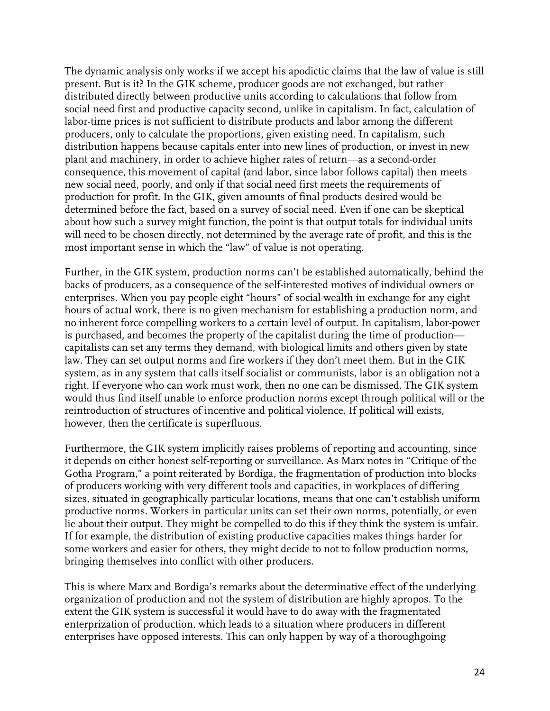The dynamic analysis only works if we accept his apodictic claims that the law of value is still present. But is it? In the GIK scheme, producer goods are not exchanged, but rather distributed directly between productive units according to calculations that follow from social need first and productive capacity second, unlike in capitalism. In fact, calculation of labor-time prices is not sufficient to distribute products and labor among the different producers, only to calculate the proportions, given existing need. In capitalism, such distribution happens because capitals enter into new lines of production, or invest in new plant and machinery, in order to achieve higher rates of return—as a second-order consequence, this movement of capital (and labor, since labor follows capital) then meets new social need, poorly, and only if that social need first meets the requirements of production for profit. In the GIK, given amounts of final products desired would be determined before the fact, based on a survey of social need. Even if one can be skeptical about how such a survey might function, the point is that output totals for individual units will need to be chosen directly, not determined by the average rate of profit, and this is the most important sense in which the "law" of value is not operating.

Further, in the GIK system, production norms can't be established automatically, behind the backs of producers, as a consequence of the self-interested motives of individual owners or enterprises. When you pay people eight "hours" of social wealth in exchange for any eight hours of actual work, there is no given mechanism for establishing a production norm, and no inherent force compelling workers to a certain level of output. In capitalism, labor-power is purchased, and becomes the property of the capitalist during the time of production capitalists can set any terms they demand, with biological limits and others given by state law. They can set output norms and fire workers if they don't meet them. But in the GIK system, as in any system that calls itself socialist or communists, labor is an obligation not a right. If everyone who can work must work, then no one can be dismissed. The GIK system would thus find itself unable to enforce production norms except through political will or the reintroduction of structures of incentive and political violence. If political will exists, however, then the certificate is superfluous.

Furthermore, the GIK system implicitly raises problems of reporting and accounting, since it depends on either honest self-reporting or surveillance. As Marx notes in "Critique of the Gotha Program," a point reiterated by Bordiga, the fragmentation of production into blocks of producers working with very different tools and capacities, in workplaces of differing sizes, situated in geographically particular locations, means that one can't establish uniform productive norms. Workers in particular units can set their own norms, potentially, or even lie about their output. They might be compelled to do this if they think the system is unfair. If for example, the distribution of existing productive capacities makes things harder for some workers and easier for others, they might decide to not to follow production norms, bringing themselves into conflict with other producers.

This is where Marx and Bordiga's remarks about the determinative effect of the underlying organization of production and not the system of distribution are highly apropos. To the extent the GIK system is successful it would have to do away with the fragmentated enterprization of production, which leads to a situation where producers in different enterprises have opposed interests. This can only happen by way of a thoroughgoing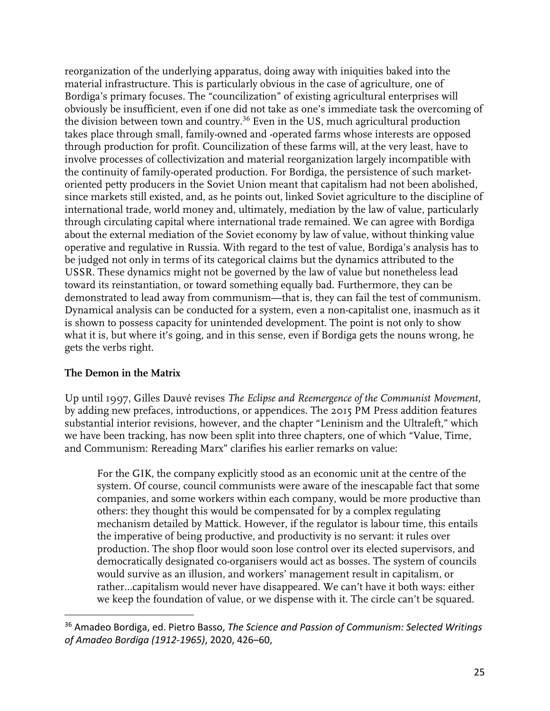reorganization of the underlying apparatus, doing away with iniquities baked into the material infrastructure. This is particularly obvious in the case of agriculture, one of Bordiga's primary focuses. The "councilization" of existing agricultural enterprises will obviously be insufficient, even if one did not take as one's immediate task the overcoming of the division between town and country.<sup>36</sup> Even in the US, much agricultural production takes place through small, family-owned and -operated farms whose interests are opposed through production for profit. Councilization of these farms will, at the very least, have to involve processes of collectivization and material reorganization largely incompatible with the continuity of family-operated production. For Bordiga, the persistence of such marketoriented petty producers in the Soviet Union meant that capitalism had not been abolished, since markets still existed, and, as he points out, linked Soviet agriculture to the discipline of international trade, world money and, ultimately, mediation by the law of value, particularly through circulating capital where international trade remained. We can agree with Bordiga about the external mediation of the Soviet economy by law of value, without thinking value operative and regulative in Russia. With regard to the test of value, Bordiga's analysis has to be judged not only in terms of its categorical claims but the dynamics attributed to the USSR. These dynamics might not be governed by the law of value but nonetheless lead toward its reinstantiation, or toward something equally bad. Furthermore, they can be demonstrated to lead away from communism—that is, they can fail the test of communism. Dynamical analysis can be conducted for a system, even a non-capitalist one, inasmuch as it is shown to possess capacity for unintended development. The point is not only to show what it is, but where it's going, and in this sense, even if Bordiga gets the nouns wrong, he gets the verbs right.

## **The Demon in the Matrix**

Up until 1997, Gilles Dauvé revises *The Eclipse and Reemergence of the Communist Movement,*  by adding new prefaces, introductions, or appendices. The 2015 PM Press addition features substantial interior revisions, however, and the chapter "Leninism and the Ultraleft," which we have been tracking, has now been split into three chapters, one of which "Value, Time, and Communism: Rereading Marx" clarifies his earlier remarks on value:

For the GIK, the company explicitly stood as an economic unit at the centre of the system. Of course, council communists were aware of the inescapable fact that some companies, and some workers within each company, would be more productive than others: they thought this would be compensated for by a complex regulating mechanism detailed by Mattick. However, if the regulator is labour time, this entails the imperative of being productive, and productivity is no servant: it rules over production. The shop floor would soon lose control over its elected supervisors, and democratically designated co-organisers would act as bosses. The system of councils would survive as an illusion, and workers' management result in capitalism, or rather…capitalism would never have disappeared. We can't have it both ways: either we keep the foundation of value, or we dispense with it. The circle can't be squared.

<sup>36</sup> Amadeo Bordiga, ed. Pietro Basso, *The Science and Passion of Communism: Selected Writings of Amadeo Bordiga (1912-1965)*, 2020, 426–60,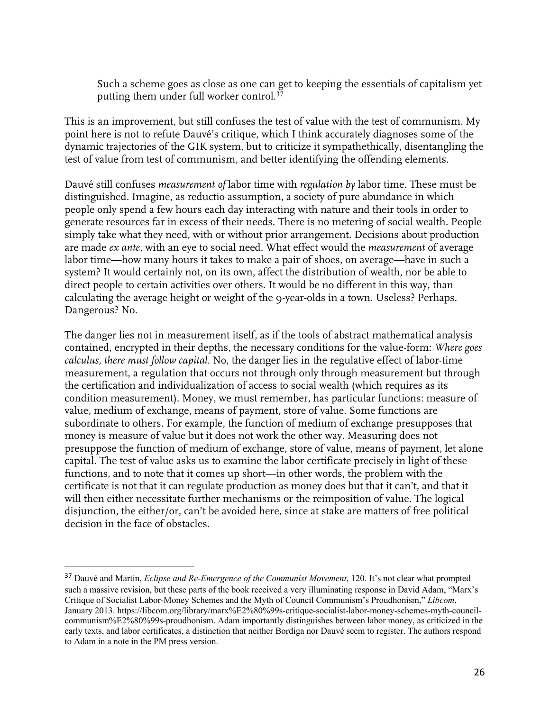Such a scheme goes as close as one can get to keeping the essentials of capitalism yet putting them under full worker control.<sup>37</sup>

This is an improvement, but still confuses the test of value with the test of communism. My point here is not to refute Dauvé's critique, which I think accurately diagnoses some of the dynamic trajectories of the GIK system, but to criticize it sympathethically, disentangling the test of value from test of communism, and better identifying the offending elements.

Dauvé still confuses *measurement of* labor time with *regulation by* labor time. These must be distinguished. Imagine, as reductio assumption, a society of pure abundance in which people only spend a few hours each day interacting with nature and their tools in order to generate resources far in excess of their needs. There is no metering of social wealth. People simply take what they need, with or without prior arrangement. Decisions about production are made *ex ante*, with an eye to social need. What effect would the *measurement* of average labor time—how many hours it takes to make a pair of shoes, on average—have in such a system? It would certainly not, on its own, affect the distribution of wealth, nor be able to direct people to certain activities over others. It would be no different in this way, than calculating the average height or weight of the 9-year-olds in a town. Useless? Perhaps. Dangerous? No.

The danger lies not in measurement itself, as if the tools of abstract mathematical analysis contained, encrypted in their depths, the necessary conditions for the value-form: *Where goes calculus, there must follow capital*. No, the danger lies in the regulative effect of labor-time measurement, a regulation that occurs not through only through measurement but through the certification and individualization of access to social wealth (which requires as its condition measurement). Money, we must remember, has particular functions: measure of value, medium of exchange, means of payment, store of value. Some functions are subordinate to others. For example, the function of medium of exchange presupposes that money is measure of value but it does not work the other way. Measuring does not presuppose the function of medium of exchange, store of value, means of payment, let alone capital. The test of value asks us to examine the labor certificate precisely in light of these functions, and to note that it comes up short—in other words, the problem with the certificate is not that it can regulate production as money does but that it can't, and that it will then either necessitate further mechanisms or the reimposition of value. The logical disjunction, the either/or, can't be avoided here, since at stake are matters of free political decision in the face of obstacles.

<sup>37</sup> Dauvé and Martin, *Eclipse and Re-Emergence of the Communist Movement*, 120. It's not clear what prompted such a massive revision, but these parts of the book received a very illuminating response in David Adam, "Marx's Critique of Socialist Labor-Money Schemes and the Myth of Council Communism's Proudhonism," *Libcom*, January 2013. https://libcom.org/library/marx%E2%80%99s-critique-socialist-labor-money-schemes-myth-councilcommunism%E2%80%99s-proudhonism. Adam importantly distinguishes between labor money, as criticized in the early texts, and labor certificates, a distinction that neither Bordiga nor Dauvé seem to register. The authors respond to Adam in a note in the PM press version.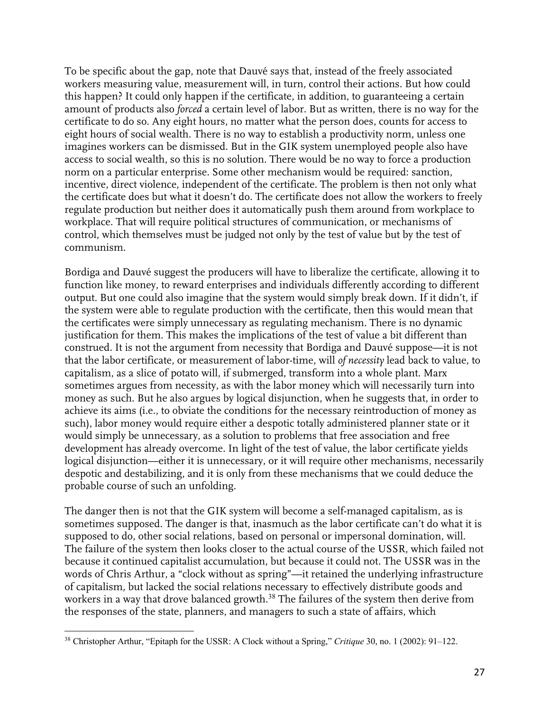To be specific about the gap, note that Dauvé says that, instead of the freely associated workers measuring value, measurement will, in turn, control their actions. But how could this happen? It could only happen if the certificate, in addition, to guaranteeing a certain amount of products also *forced* a certain level of labor. But as written, there is no way for the certificate to do so. Any eight hours, no matter what the person does, counts for access to eight hours of social wealth. There is no way to establish a productivity norm, unless one imagines workers can be dismissed. But in the GIK system unemployed people also have access to social wealth, so this is no solution. There would be no way to force a production norm on a particular enterprise. Some other mechanism would be required: sanction, incentive, direct violence, independent of the certificate. The problem is then not only what the certificate does but what it doesn't do. The certificate does not allow the workers to freely regulate production but neither does it automatically push them around from workplace to workplace. That will require political structures of communication, or mechanisms of control, which themselves must be judged not only by the test of value but by the test of communism.

Bordiga and Dauvé suggest the producers will have to liberalize the certificate, allowing it to function like money, to reward enterprises and individuals differently according to different output. But one could also imagine that the system would simply break down. If it didn't, if the system were able to regulate production with the certificate, then this would mean that the certificates were simply unnecessary as regulating mechanism. There is no dynamic justification for them. This makes the implications of the test of value a bit different than construed. It is not the argument from necessity that Bordiga and Dauvé suppose—it is not that the labor certificate, or measurement of labor-time, will *of necessity* lead back to value, to capitalism, as a slice of potato will, if submerged, transform into a whole plant. Marx sometimes argues from necessity, as with the labor money which will necessarily turn into money as such. But he also argues by logical disjunction, when he suggests that, in order to achieve its aims (i.e., to obviate the conditions for the necessary reintroduction of money as such), labor money would require either a despotic totally administered planner state or it would simply be unnecessary, as a solution to problems that free association and free development has already overcome. In light of the test of value, the labor certificate yields logical disjunction—either it is unnecessary, or it will require other mechanisms, necessarily despotic and destabilizing, and it is only from these mechanisms that we could deduce the probable course of such an unfolding.

The danger then is not that the GIK system will become a self-managed capitalism, as is sometimes supposed. The danger is that, inasmuch as the labor certificate can't do what it is supposed to do, other social relations, based on personal or impersonal domination, will. The failure of the system then looks closer to the actual course of the USSR, which failed not because it continued capitalist accumulation, but because it could not. The USSR was in the words of Chris Arthur, a "clock without as spring"—it retained the underlying infrastructure of capitalism, but lacked the social relations necessary to effectively distribute goods and workers in a way that drove balanced growth.<sup>38</sup> The failures of the system then derive from the responses of the state, planners, and managers to such a state of affairs, which

<sup>38</sup> Christopher Arthur, "Epitaph for the USSR: A Clock without a Spring," *Critique* 30, no. 1 (2002): 91–122.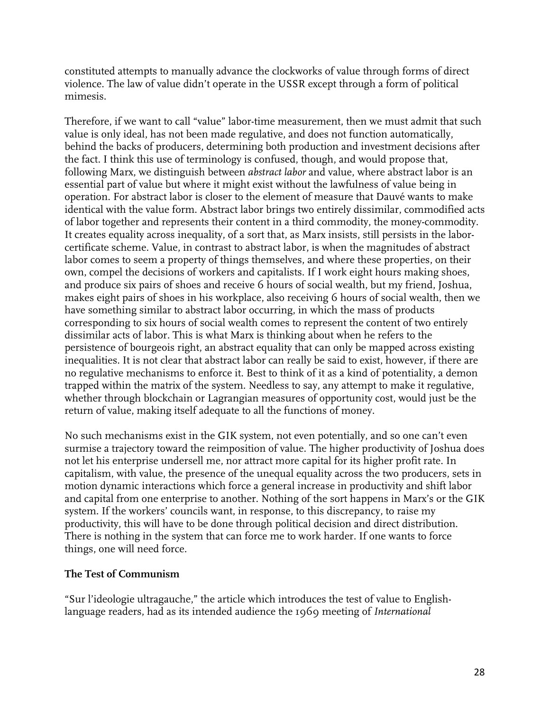constituted attempts to manually advance the clockworks of value through forms of direct violence. The law of value didn't operate in the USSR except through a form of political mimesis.

Therefore, if we want to call "value" labor-time measurement, then we must admit that such value is only ideal, has not been made regulative, and does not function automatically, behind the backs of producers, determining both production and investment decisions after the fact. I think this use of terminology is confused, though, and would propose that, following Marx, we distinguish between *abstract labor* and value, where abstract labor is an essential part of value but where it might exist without the lawfulness of value being in operation. For abstract labor is closer to the element of measure that Dauvé wants to make identical with the value form. Abstract labor brings two entirely dissimilar, commodified acts of labor together and represents their content in a third commodity, the money-commodity. It creates equality across inequality, of a sort that, as Marx insists, still persists in the laborcertificate scheme. Value, in contrast to abstract labor, is when the magnitudes of abstract labor comes to seem a property of things themselves, and where these properties, on their own, compel the decisions of workers and capitalists. If I work eight hours making shoes, and produce six pairs of shoes and receive 6 hours of social wealth, but my friend, Joshua, makes eight pairs of shoes in his workplace, also receiving 6 hours of social wealth, then we have something similar to abstract labor occurring, in which the mass of products corresponding to six hours of social wealth comes to represent the content of two entirely dissimilar acts of labor. This is what Marx is thinking about when he refers to the persistence of bourgeois right, an abstract equality that can only be mapped across existing inequalities. It is not clear that abstract labor can really be said to exist, however, if there are no regulative mechanisms to enforce it. Best to think of it as a kind of potentiality, a demon trapped within the matrix of the system. Needless to say, any attempt to make it regulative, whether through blockchain or Lagrangian measures of opportunity cost, would just be the return of value, making itself adequate to all the functions of money.

No such mechanisms exist in the GIK system, not even potentially, and so one can't even surmise a trajectory toward the reimposition of value. The higher productivity of Joshua does not let his enterprise undersell me, nor attract more capital for its higher profit rate. In capitalism, with value, the presence of the unequal equality across the two producers, sets in motion dynamic interactions which force a general increase in productivity and shift labor and capital from one enterprise to another. Nothing of the sort happens in Marx's or the GIK system. If the workers' councils want, in response, to this discrepancy, to raise my productivity, this will have to be done through political decision and direct distribution. There is nothing in the system that can force me to work harder. If one wants to force things, one will need force.

### **The Test of Communism**

"Sur l'ideologie ultragauche," the article which introduces the test of value to Englishlanguage readers, had as its intended audience the 1969 meeting of *International*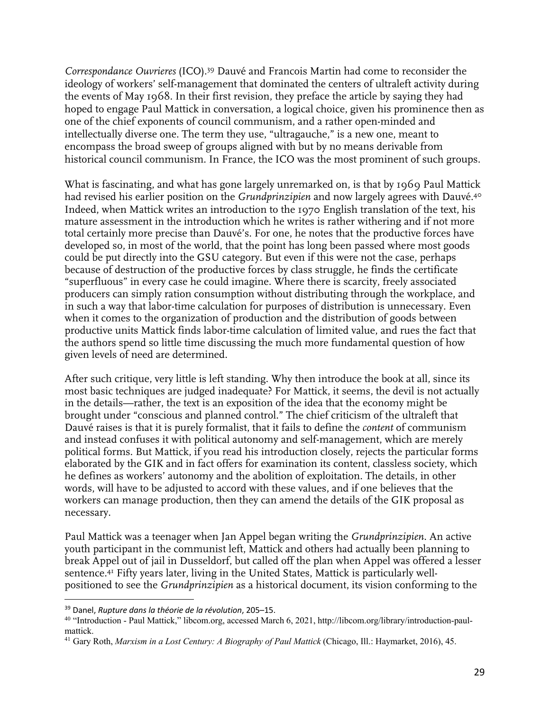*Correspondance Ouvrieres* (ICO). <sup>39</sup> Dauvé and Francois Martin had come to reconsider the ideology of workers' self-management that dominated the centers of ultraleft activity during the events of May 1968. In their first revision, they preface the article by saying they had hoped to engage Paul Mattick in conversation, a logical choice, given his prominence then as one of the chief exponents of council communism, and a rather open-minded and intellectually diverse one. The term they use, "ultragauche," is a new one, meant to encompass the broad sweep of groups aligned with but by no means derivable from historical council communism. In France, the ICO was the most prominent of such groups.

What is fascinating, and what has gone largely unremarked on, is that by 1969 Paul Mattick had revised his earlier position on the *Grundprinzipien* and now largely agrees with Dauvé.40 Indeed, when Mattick writes an introduction to the 1970 English translation of the text, his mature assessment in the introduction which he writes is rather withering and if not more total certainly more precise than Dauvé's. For one, he notes that the productive forces have developed so, in most of the world, that the point has long been passed where most goods could be put directly into the GSU category. But even if this were not the case, perhaps because of destruction of the productive forces by class struggle, he finds the certificate "superfluous" in every case he could imagine. Where there is scarcity, freely associated producers can simply ration consumption without distributing through the workplace, and in such a way that labor-time calculation for purposes of distribution is unnecessary. Even when it comes to the organization of production and the distribution of goods between productive units Mattick finds labor-time calculation of limited value, and rues the fact that the authors spend so little time discussing the much more fundamental question of how given levels of need are determined.

After such critique, very little is left standing. Why then introduce the book at all, since its most basic techniques are judged inadequate? For Mattick, it seems, the devil is not actually in the details—rather, the text is an exposition of the idea that the economy might be brought under "conscious and planned control." The chief criticism of the ultraleft that Dauvé raises is that it is purely formalist, that it fails to define the *content* of communism and instead confuses it with political autonomy and self-management, which are merely political forms. But Mattick, if you read his introduction closely, rejects the particular forms elaborated by the GIK and in fact offers for examination its content, classless society, which he defines as workers' autonomy and the abolition of exploitation. The details, in other words, will have to be adjusted to accord with these values, and if one believes that the workers can manage production, then they can amend the details of the GIK proposal as necessary.

Paul Mattick was a teenager when Jan Appel began writing the *Grundprinzipien*. An active youth participant in the communist left, Mattick and others had actually been planning to break Appel out of jail in Dusseldorf, but called off the plan when Appel was offered a lesser sentence.41 Fifty years later, living in the United States, Mattick is particularly wellpositioned to see the *Grundprinzipien* as a historical document, its vision conforming to the

<sup>39</sup> Danel, *Rupture dans la théorie de la révolution*, 205–15.

<sup>40</sup> "Introduction - Paul Mattick," libcom.org, accessed March 6, 2021, http://libcom.org/library/introduction-paulmattick.

<sup>41</sup> Gary Roth, *Marxism in a Lost Century: A Biography of Paul Mattick* (Chicago, Ill.: Haymarket, 2016), 45.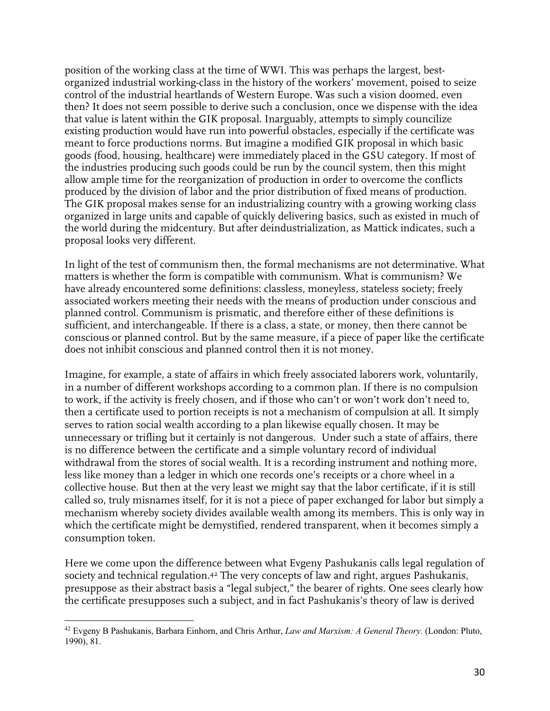position of the working class at the time of WWI. This was perhaps the largest, bestorganized industrial working-class in the history of the workers' movement, poised to seize control of the industrial heartlands of Western Europe. Was such a vision doomed, even then? It does not seem possible to derive such a conclusion, once we dispense with the idea that value is latent within the GIK proposal. Inarguably, attempts to simply councilize existing production would have run into powerful obstacles, especially if the certificate was meant to force productions norms. But imagine a modified GIK proposal in which basic goods (food, housing, healthcare) were immediately placed in the GSU category. If most of the industries producing such goods could be run by the council system, then this might allow ample time for the reorganization of production in order to overcome the conflicts produced by the division of labor and the prior distribution of fixed means of production. The GIK proposal makes sense for an industrializing country with a growing working class organized in large units and capable of quickly delivering basics, such as existed in much of the world during the midcentury. But after deindustrialization, as Mattick indicates, such a proposal looks very different.

In light of the test of communism then, the formal mechanisms are not determinative. What matters is whether the form is compatible with communism. What is communism? We have already encountered some definitions: classless, moneyless, stateless society; freely associated workers meeting their needs with the means of production under conscious and planned control. Communism is prismatic, and therefore either of these definitions is sufficient, and interchangeable. If there is a class, a state, or money, then there cannot be conscious or planned control. But by the same measure, if a piece of paper like the certificate does not inhibit conscious and planned control then it is not money.

Imagine, for example, a state of affairs in which freely associated laborers work, voluntarily, in a number of different workshops according to a common plan. If there is no compulsion to work, if the activity is freely chosen, and if those who can't or won't work don't need to, then a certificate used to portion receipts is not a mechanism of compulsion at all. It simply serves to ration social wealth according to a plan likewise equally chosen. It may be unnecessary or trifling but it certainly is not dangerous. Under such a state of affairs, there is no difference between the certificate and a simple voluntary record of individual withdrawal from the stores of social wealth. It is a recording instrument and nothing more, less like money than a ledger in which one records one's receipts or a chore wheel in a collective house. But then at the very least we might say that the labor certificate, if it is still called so, truly misnames itself, for it is not a piece of paper exchanged for labor but simply a mechanism whereby society divides available wealth among its members. This is only way in which the certificate might be demystified, rendered transparent, when it becomes simply a consumption token.

Here we come upon the difference between what Evgeny Pashukanis calls legal regulation of society and technical regulation.<sup>42</sup> The very concepts of law and right, argues Pashukanis, presuppose as their abstract basis a "legal subject," the bearer of rights. One sees clearly how the certificate presupposes such a subject, and in fact Pashukanis's theory of law is derived

<sup>42</sup> Evgeny B Pashukanis, Barbara Einhorn, and Chris Arthur, *Law and Marxism: A General Theory.* (London: Pluto, 1990), 81.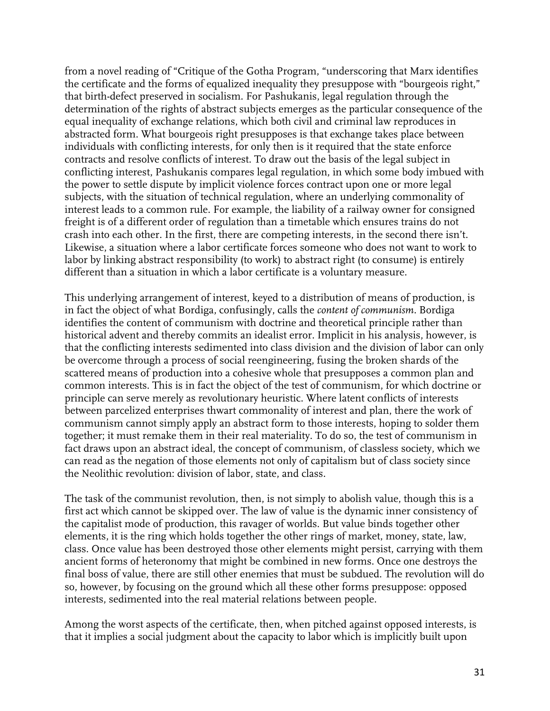from a novel reading of "Critique of the Gotha Program, "underscoring that Marx identifies the certificate and the forms of equalized inequality they presuppose with "bourgeois right," that birth-defect preserved in socialism. For Pashukanis, legal regulation through the determination of the rights of abstract subjects emerges as the particular consequence of the equal inequality of exchange relations, which both civil and criminal law reproduces in abstracted form. What bourgeois right presupposes is that exchange takes place between individuals with conflicting interests, for only then is it required that the state enforce contracts and resolve conflicts of interest. To draw out the basis of the legal subject in conflicting interest, Pashukanis compares legal regulation, in which some body imbued with the power to settle dispute by implicit violence forces contract upon one or more legal subjects, with the situation of technical regulation, where an underlying commonality of interest leads to a common rule. For example, the liability of a railway owner for consigned freight is of a different order of regulation than a timetable which ensures trains do not crash into each other. In the first, there are competing interests, in the second there isn't. Likewise, a situation where a labor certificate forces someone who does not want to work to labor by linking abstract responsibility (to work) to abstract right (to consume) is entirely different than a situation in which a labor certificate is a voluntary measure.

This underlying arrangement of interest, keyed to a distribution of means of production, is in fact the object of what Bordiga, confusingly, calls the *content of communism.* Bordiga identifies the content of communism with doctrine and theoretical principle rather than historical advent and thereby commits an idealist error. Implicit in his analysis, however, is that the conflicting interests sedimented into class division and the division of labor can only be overcome through a process of social reengineering, fusing the broken shards of the scattered means of production into a cohesive whole that presupposes a common plan and common interests. This is in fact the object of the test of communism, for which doctrine or principle can serve merely as revolutionary heuristic. Where latent conflicts of interests between parcelized enterprises thwart commonality of interest and plan, there the work of communism cannot simply apply an abstract form to those interests, hoping to solder them together; it must remake them in their real materiality. To do so, the test of communism in fact draws upon an abstract ideal, the concept of communism, of classless society, which we can read as the negation of those elements not only of capitalism but of class society since the Neolithic revolution: division of labor, state, and class.

The task of the communist revolution, then, is not simply to abolish value, though this is a first act which cannot be skipped over. The law of value is the dynamic inner consistency of the capitalist mode of production, this ravager of worlds. But value binds together other elements, it is the ring which holds together the other rings of market, money, state, law, class. Once value has been destroyed those other elements might persist, carrying with them ancient forms of heteronomy that might be combined in new forms. Once one destroys the final boss of value, there are still other enemies that must be subdued. The revolution will do so, however, by focusing on the ground which all these other forms presuppose: opposed interests, sedimented into the real material relations between people.

Among the worst aspects of the certificate, then, when pitched against opposed interests, is that it implies a social judgment about the capacity to labor which is implicitly built upon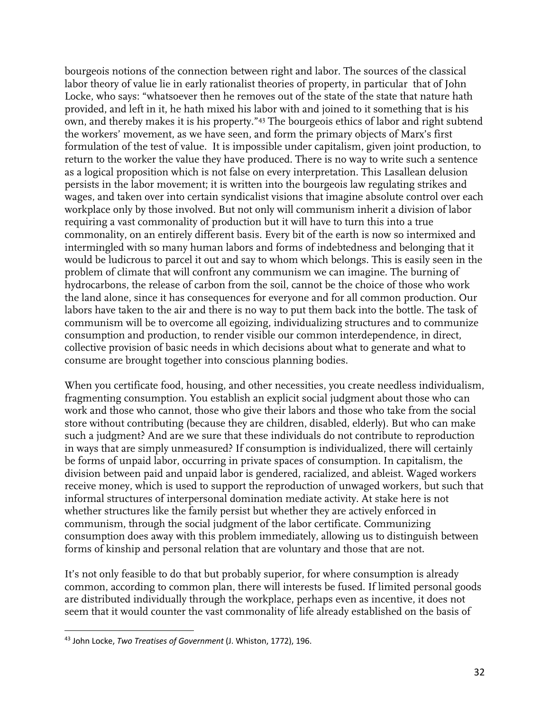bourgeois notions of the connection between right and labor. The sources of the classical labor theory of value lie in early rationalist theories of property, in particular that of John Locke, who says: "whatsoever then he removes out of the state of the state that nature hath provided, and left in it, he hath mixed his labor with and joined to it something that is his own, and thereby makes it is his property."43 The bourgeois ethics of labor and right subtend the workers' movement, as we have seen, and form the primary objects of Marx's first formulation of the test of value. It is impossible under capitalism, given joint production, to return to the worker the value they have produced. There is no way to write such a sentence as a logical proposition which is not false on every interpretation. This Lasallean delusion persists in the labor movement; it is written into the bourgeois law regulating strikes and wages, and taken over into certain syndicalist visions that imagine absolute control over each workplace only by those involved. But not only will communism inherit a division of labor requiring a vast commonality of production but it will have to turn this into a true commonality, on an entirely different basis. Every bit of the earth is now so intermixed and intermingled with so many human labors and forms of indebtedness and belonging that it would be ludicrous to parcel it out and say to whom which belongs. This is easily seen in the problem of climate that will confront any communism we can imagine. The burning of hydrocarbons, the release of carbon from the soil, cannot be the choice of those who work the land alone, since it has consequences for everyone and for all common production. Our labors have taken to the air and there is no way to put them back into the bottle. The task of communism will be to overcome all egoizing, individualizing structures and to communize consumption and production, to render visible our common interdependence, in direct, collective provision of basic needs in which decisions about what to generate and what to consume are brought together into conscious planning bodies.

When you certificate food, housing, and other necessities, you create needless individualism, fragmenting consumption. You establish an explicit social judgment about those who can work and those who cannot, those who give their labors and those who take from the social store without contributing (because they are children, disabled, elderly). But who can make such a judgment? And are we sure that these individuals do not contribute to reproduction in ways that are simply unmeasured? If consumption is individualized, there will certainly be forms of unpaid labor, occurring in private spaces of consumption. In capitalism, the division between paid and unpaid labor is gendered, racialized, and ableist. Waged workers receive money, which is used to support the reproduction of unwaged workers, but such that informal structures of interpersonal domination mediate activity. At stake here is not whether structures like the family persist but whether they are actively enforced in communism, through the social judgment of the labor certificate. Communizing consumption does away with this problem immediately, allowing us to distinguish between forms of kinship and personal relation that are voluntary and those that are not.

It's not only feasible to do that but probably superior, for where consumption is already common, according to common plan, there will interests be fused. If limited personal goods are distributed individually through the workplace, perhaps even as incentive, it does not seem that it would counter the vast commonality of life already established on the basis of

<sup>43</sup> John Locke, *Two Treatises of Government* (J. Whiston, 1772), 196.